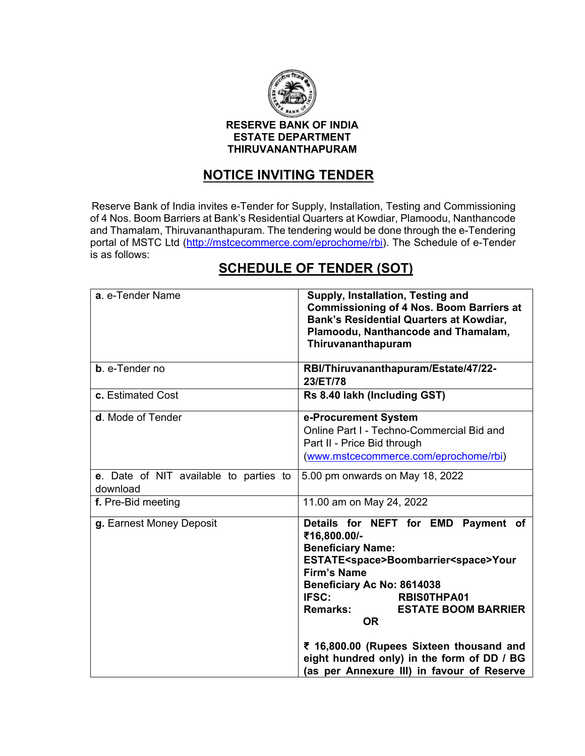

#### **RESERVE BANK OF INDIA ESTATE DEPARTMENT THIRUVANANTHAPURAM**

## **NOTICE INVITING TENDER**

Reserve Bank of India invites e-Tender for Supply, Installation, Testing and Commissioning of 4 Nos. Boom Barriers at Bank's Residential Quarters at Kowdiar, Plamoodu, Nanthancode and Thamalam, Thiruvananthapuram. The tendering would be done through the e-Tendering portal of MSTC Ltd [\(http://mstcecommerce.com/eprochome/rbi\)](https://www.mstcecommerce.com/eprochome/rbi). The Schedule of e-Tender is as follows:

# **SCHEDULE OF TENDER (SOT)**

| a. e-Tender Name                                   | Supply, Installation, Testing and<br><b>Commissioning of 4 Nos. Boom Barriers at</b><br><b>Bank's Residential Quarters at Kowdiar,</b><br>Plamoodu, Nanthancode and Thamalam,<br>Thiruvananthapuram                                                                                                                                                                                                                                        |
|----------------------------------------------------|--------------------------------------------------------------------------------------------------------------------------------------------------------------------------------------------------------------------------------------------------------------------------------------------------------------------------------------------------------------------------------------------------------------------------------------------|
| <b>b.</b> e-Tender no                              | RBI/Thiruvananthapuram/Estate/47/22-<br>23/ET/78                                                                                                                                                                                                                                                                                                                                                                                           |
| c. Estimated Cost                                  | Rs 8.40 lakh (Including GST)                                                                                                                                                                                                                                                                                                                                                                                                               |
| d. Mode of Tender                                  | e-Procurement System<br>Online Part I - Techno-Commercial Bid and<br>Part II - Price Bid through<br>(www.mstcecommerce.com/eprochome/rbi)                                                                                                                                                                                                                                                                                                  |
| e. Date of NIT available to parties to<br>download | 5.00 pm onwards on May 18, 2022                                                                                                                                                                                                                                                                                                                                                                                                            |
| f. Pre-Bid meeting                                 | 11.00 am on May 24, 2022                                                                                                                                                                                                                                                                                                                                                                                                                   |
| g. Earnest Money Deposit                           | Details for NEFT for EMD Payment of<br>₹16,800.00/-<br><b>Beneficiary Name:</b><br>ESTATE <space>Boombarrier<space>Your<br/><b>Firm's Name</b><br/>Beneficiary Ac No: 8614038<br/>IFSC:<br/><b>RBISOTHPA01</b><br/><b>Remarks:</b><br/><b>ESTATE BOOM BARRIER</b><br/><b>OR</b><br/>₹ 16,800.00 (Rupees Sixteen thousand and<br/>eight hundred only) in the form of DD / BG<br/>(as per Annexure III) in favour of Reserve</space></space> |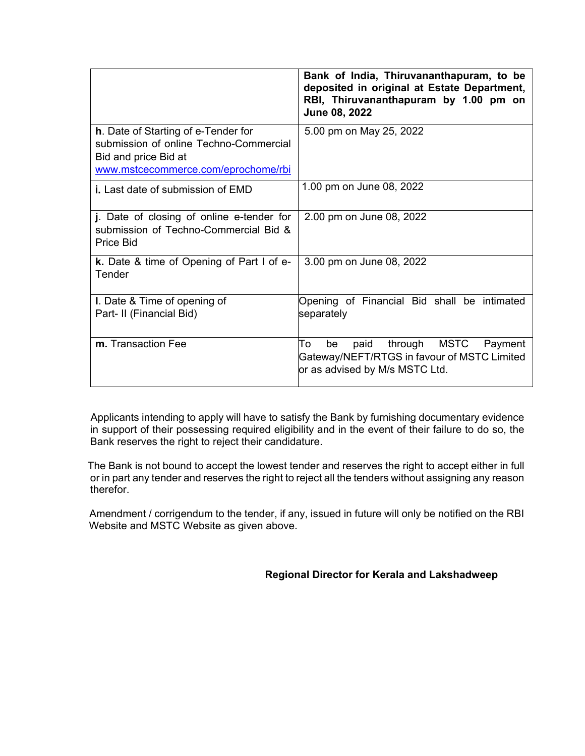|                                                                                                                                                     | Bank of India, Thiruvananthapuram, to be<br>deposited in original at Estate Department,<br>RBI, Thiruvananthapuram by 1.00 pm on<br>June 08, 2022 |
|-----------------------------------------------------------------------------------------------------------------------------------------------------|---------------------------------------------------------------------------------------------------------------------------------------------------|
| <b>h.</b> Date of Starting of e-Tender for<br>submission of online Techno-Commercial<br>Bid and price Bid at<br>www.mstcecommerce.com/eprochome/rbi | 5.00 pm on May 25, 2022                                                                                                                           |
| <b>i.</b> Last date of submission of EMD                                                                                                            | 1.00 pm on June 08, 2022                                                                                                                          |
| j. Date of closing of online e-tender for<br>submission of Techno-Commercial Bid &<br>Price Bid                                                     | 2.00 pm on June 08, 2022                                                                                                                          |
| <b>k.</b> Date & time of Opening of Part I of e-<br>Tender                                                                                          | 3.00 pm on June 08, 2022                                                                                                                          |
| I. Date & Time of opening of<br>Part- II (Financial Bid)                                                                                            | Opening of Financial Bid shall be intimated<br>separately                                                                                         |
| m. Transaction Fee                                                                                                                                  | To<br>through MSTC<br>be<br>paid<br>Payment<br>Gateway/NEFT/RTGS in favour of MSTC Limited<br>or as advised by M/s MSTC Ltd.                      |

 Applicants intending to apply will have to satisfy the Bank by furnishing documentary evidence in support of their possessing required eligibility and in the event of their failure to do so, the Bank reserves the right to reject their candidature.

 The Bank is not bound to accept the lowest tender and reserves the right to accept either in full or in part any tender and reserves the right to reject all the tenders without assigning any reason therefor.

 Amendment / corrigendum to the tender, if any, issued in future will only be notified on the RBI Website and MSTC Website as given above.

 **Regional Director for Kerala and Lakshadweep**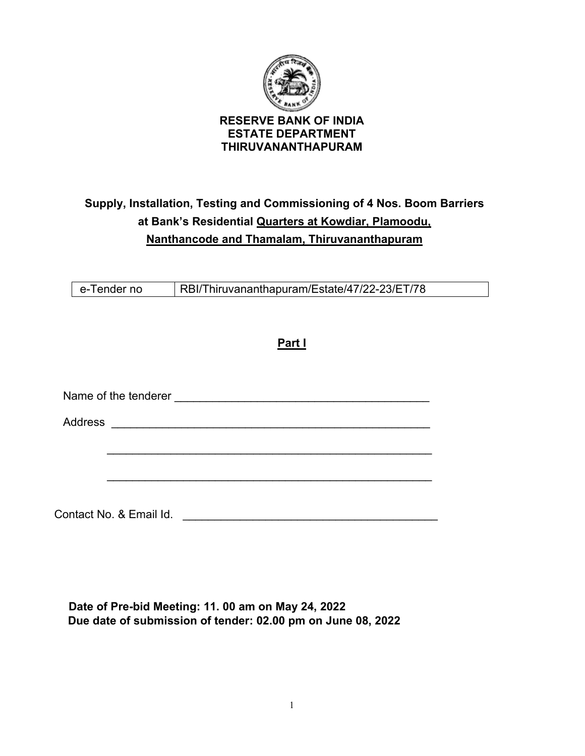

# **Supply, Installation, Testing and Commissioning of 4 Nos. Boom Barriers at Bank's Residential Quarters at Kowdiar, Plamoodu, Nanthancode and Thamalam, Thiruvananthapuram**

**Part I** 

e-Tender no RBI/Thiruvananthapuram/Estate/47/22-23/ET/78

|                | Name of the tenderer |  |  |
|----------------|----------------------|--|--|
| <b>Address</b> |                      |  |  |
|                |                      |  |  |
|                |                      |  |  |

 **Date of Pre-bid Meeting: 11. 00 am on May 24, 2022 Due date of submission of tender: 02.00 pm on June 08, 2022**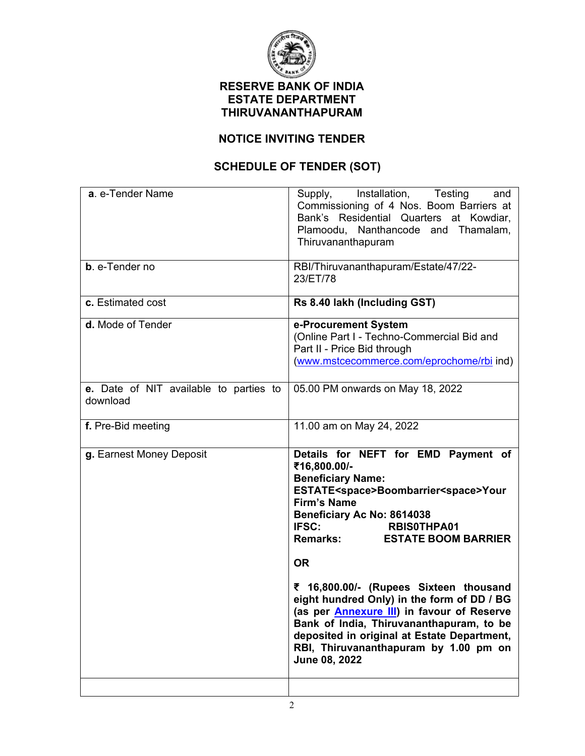

## **RESERVE BANK OF INDIA ESTATE DEPARTMENT THIRUVANANTHAPURAM**

## **NOTICE INVITING TENDER**

## **SCHEDULE OF TENDER (SOT)**

| Supply, Installation, Testing<br>and<br>Commissioning of 4 Nos. Boom Barriers at<br>Bank's Residential Quarters at Kowdiar,<br>Plamoodu, Nanthancode and Thamalam,<br>Thiruvananthapuram                                                                                                                                                                                                                                                               |
|--------------------------------------------------------------------------------------------------------------------------------------------------------------------------------------------------------------------------------------------------------------------------------------------------------------------------------------------------------------------------------------------------------------------------------------------------------|
| RBI/Thiruvananthapuram/Estate/47/22-<br>23/ET/78                                                                                                                                                                                                                                                                                                                                                                                                       |
| Rs 8.40 lakh (Including GST)                                                                                                                                                                                                                                                                                                                                                                                                                           |
| e-Procurement System<br>(Online Part I - Techno-Commercial Bid and<br>Part II - Price Bid through<br>(www.mstcecommerce.com/eprochome/rbi ind)                                                                                                                                                                                                                                                                                                         |
| 05.00 PM onwards on May 18, 2022                                                                                                                                                                                                                                                                                                                                                                                                                       |
| 11.00 am on May 24, 2022                                                                                                                                                                                                                                                                                                                                                                                                                               |
| Details for NEFT for EMD Payment of<br>₹16,800.00/-<br><b>Beneficiary Name:</b><br>ESTATE <space>Boombarrier<space>Your<br/><b>Firm's Name</b><br/>Beneficiary Ac No: 8614038<br/><b>IFSC:</b><br/><b>RBISOTHPA01</b><br/><b>Remarks:</b><br/><b>ESTATE BOOM BARRIER</b><br/><b>OR</b><br/>₹ 16,800.00/- (Rupees Sixteen thousand<br/>eight hundred Only) in the form of DD / BG<br/>(as per <b>Annexure III</b>) in favour of Reserve</space></space> |
| Bank of India, Thiruvananthapuram, to be<br>deposited in original at Estate Department,<br>RBI, Thiruvananthapuram by 1.00 pm on<br>June 08, 2022                                                                                                                                                                                                                                                                                                      |
|                                                                                                                                                                                                                                                                                                                                                                                                                                                        |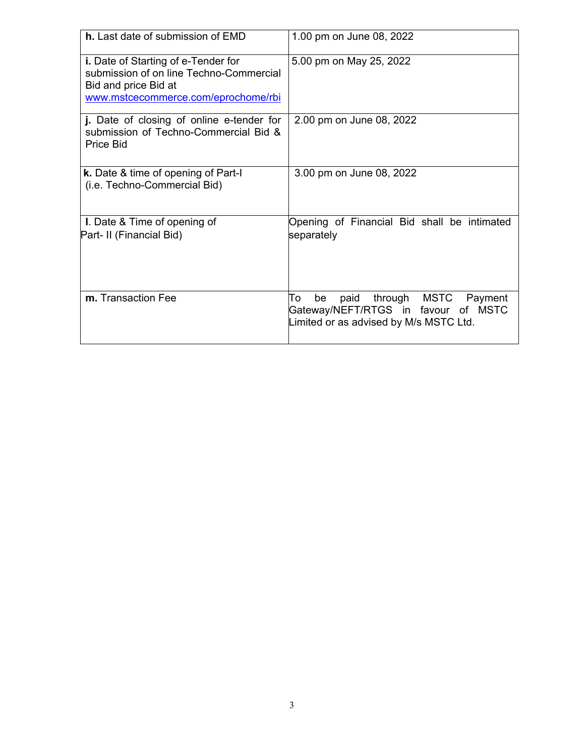| h. Last date of submission of EMD                                                                                                             | 1.00 pm on June 08, 2022                                                                                                  |
|-----------------------------------------------------------------------------------------------------------------------------------------------|---------------------------------------------------------------------------------------------------------------------------|
| i. Date of Starting of e-Tender for<br>submission of on line Techno-Commercial<br>Bid and price Bid at<br>www.mstcecommerce.com/eprochome/rbi | 5.00 pm on May 25, 2022                                                                                                   |
| j. Date of closing of online e-tender for<br>submission of Techno-Commercial Bid &<br>Price Bid                                               | 2.00 pm on June 08, 2022                                                                                                  |
| k. Date & time of opening of Part-I<br>(i.e. Techno-Commercial Bid)                                                                           | 3.00 pm on June 08, 2022                                                                                                  |
| I. Date & Time of opening of<br>Part- II (Financial Bid)                                                                                      | Opening of Financial Bid shall be intimated<br>separately                                                                 |
| m. Transaction Fee                                                                                                                            | through MSTC Payment<br>To<br>be<br>paid<br>Gateway/NEFT/RTGS in favour of MSTC<br>Limited or as advised by M/s MSTC Ltd. |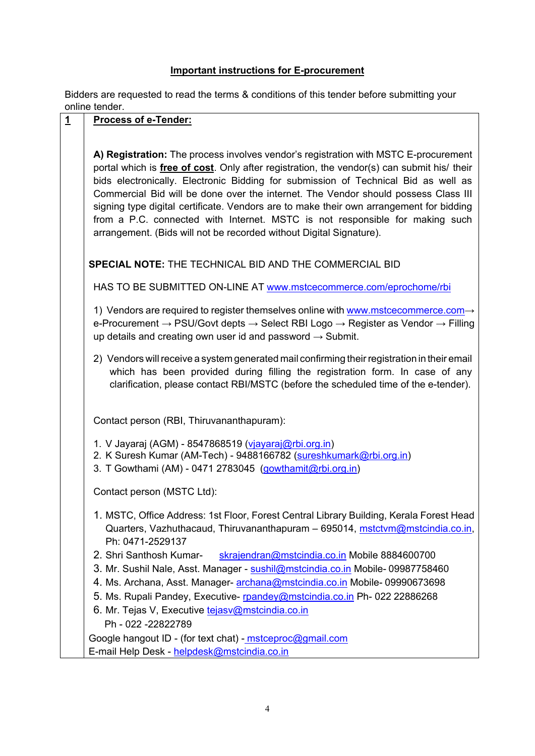## **Important instructions for E-procurement**

Bidders are requested to read the terms & conditions of this tender before submitting your online tender.

## **1 Process of e-Tender:**

**A) Registration:** The process involves vendor's registration with MSTC E-procurement portal which is **free of cost**. Only after registration, the vendor(s) can submit his/ their bids electronically. Electronic Bidding for submission of Technical Bid as well as Commercial Bid will be done over the internet. The Vendor should possess Class III signing type digital certificate. Vendors are to make their own arrangement for bidding from a P.C. connected with Internet. MSTC is not responsible for making such arrangement. (Bids will not be recorded without Digital Signature).

**SPECIAL NOTE:** THE TECHNICAL BID AND THE COMMERCIAL BID

HAS TO BE SUBMITTED ON-LINE AT [www.mstcecommerce.com/eprochome/rbi](https://www.mstcecommerce.com/eprochome/rbi)

1) Vendors are required to register themselves online with [www.mstcecommerce.com](https://www.mstcecommerce.com/)[→](https://www.mstcecommerce.com/) e-Procurement → PSU/Govt depts → Select RBI Logo → Register as Vendor → Filling up details and creating own user id and password  $\rightarrow$  Submit.

2) Vendors will receive a system generated mail confirming their registration in their email which has been provided during filling the registration form. In case of any clarification, please contact RBI/MSTC (before the scheduled time of the e-tender).

Contact person (RBI, Thiruvananthapuram):

- 1. V Jayaraj (AGM) 8547868519 [\(vjayaraj@rbi.org.in\)](mailto:vjayaraj@rbi.org.in)
- 2. K Suresh Kumar (AM-Tech) 9488166782 [\(sureshkumark@rbi.org.in\)](mailto:sureshkumark@rbi.org.in)
- 3. T Gowthami (AM) 0471 2783045 [\(gowthamit@rbi.org.in\)](mailto:gowthamit@rbi.org.in)

Contact person (MSTC Ltd):

- 1. MSTC, Office Address: 1st Floor, Forest Central Library Building, Kerala Forest Head Quarters, Vazhuthacaud, Thiruvananthapuram – 695014, [mstctvm@mstcindia.co.in,](mailto:mstctvm@mstcindia.co.in) Ph: 0471-2529137
- 2. Shri Santhosh Kumar- [skrajendran@mstcindia.co.in](mailto:skrajendran@mstcindia.co.in) Mobile 8884600700
- 3. Mr. Sushil Nale, Asst. Manager [sushil@mstcindia.co.in](mailto:sushil@mstcindia.co.in) Mobile- 09987758460
- 4. Ms. Archana, Asst. Manager- [archana@mstcindia.co.in](mailto:archana@mstcindia.co.in) Mobile- 09990673698
- 5. Ms. Rupali Pandey, Executive- [rpandey@mstcindia.co.in](mailto:rpandey@mstcindia.co.in) Ph- 022 22886268
- 6. Mr. Tejas V, Executive [tejasv@mstcindia.co.in](mailto:tejasv@mstcindia.co.in)
	- Ph 022 -22822789

Google hangout ID - (for text chat) - [mstceproc@gmail.com](mailto:mstceproc@gmail.com)  E-mail Help Desk - [helpdesk@mstcindia.co.in](mailto:helpdesk@mstcindia.co.in)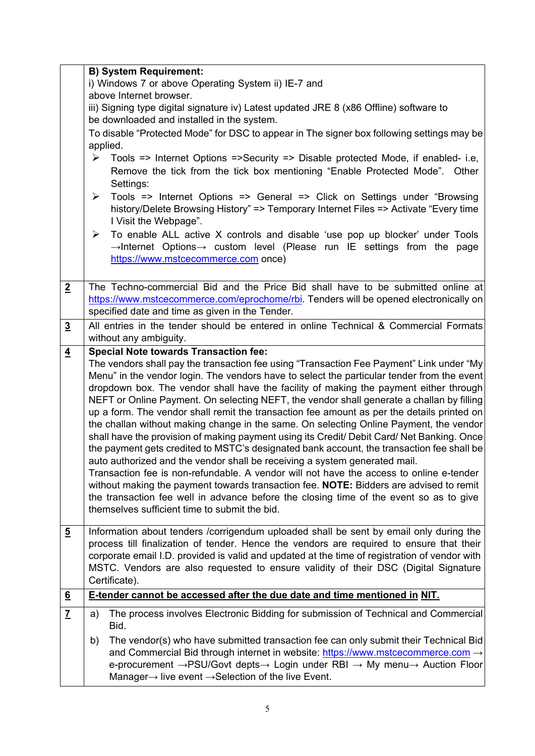|                 | <b>B) System Requirement:</b>                                                                                                                                                                                                                                                                                                                                                                                                                                                                                                                                                                                                                                                                                                                                                                                                                                                                                                                                                                                                                                                                                                                                                 |
|-----------------|-------------------------------------------------------------------------------------------------------------------------------------------------------------------------------------------------------------------------------------------------------------------------------------------------------------------------------------------------------------------------------------------------------------------------------------------------------------------------------------------------------------------------------------------------------------------------------------------------------------------------------------------------------------------------------------------------------------------------------------------------------------------------------------------------------------------------------------------------------------------------------------------------------------------------------------------------------------------------------------------------------------------------------------------------------------------------------------------------------------------------------------------------------------------------------|
|                 | i) Windows 7 or above Operating System ii) IE-7 and                                                                                                                                                                                                                                                                                                                                                                                                                                                                                                                                                                                                                                                                                                                                                                                                                                                                                                                                                                                                                                                                                                                           |
|                 | above Internet browser.                                                                                                                                                                                                                                                                                                                                                                                                                                                                                                                                                                                                                                                                                                                                                                                                                                                                                                                                                                                                                                                                                                                                                       |
|                 | iii) Signing type digital signature iv) Latest updated JRE 8 (x86 Offline) software to<br>be downloaded and installed in the system.                                                                                                                                                                                                                                                                                                                                                                                                                                                                                                                                                                                                                                                                                                                                                                                                                                                                                                                                                                                                                                          |
|                 | To disable "Protected Mode" for DSC to appear in The signer box following settings may be<br>applied.                                                                                                                                                                                                                                                                                                                                                                                                                                                                                                                                                                                                                                                                                                                                                                                                                                                                                                                                                                                                                                                                         |
|                 | Tools => Internet Options =>Security => Disable protected Mode, if enabled- i.e,<br>➤<br>Remove the tick from the tick box mentioning "Enable Protected Mode". Other<br>Settings:                                                                                                                                                                                                                                                                                                                                                                                                                                                                                                                                                                                                                                                                                                                                                                                                                                                                                                                                                                                             |
|                 | Tools => Internet Options => General => Click on Settings under "Browsing<br>$\blacktriangleright$<br>history/Delete Browsing History" => Temporary Internet Files => Activate "Every time<br>I Visit the Webpage".                                                                                                                                                                                                                                                                                                                                                                                                                                                                                                                                                                                                                                                                                                                                                                                                                                                                                                                                                           |
|                 | To enable ALL active X controls and disable 'use pop up blocker' under Tools<br>➤<br>$\rightarrow$ Internet Options $\rightarrow$ custom level (Please run IE settings from the page<br>https://www.mstcecommerce.com once)                                                                                                                                                                                                                                                                                                                                                                                                                                                                                                                                                                                                                                                                                                                                                                                                                                                                                                                                                   |
| $\overline{2}$  | The Techno-commercial Bid and the Price Bid shall have to be submitted online at<br>https://www.mstcecommerce.com/eprochome/rbi. Tenders will be opened electronically on<br>specified date and time as given in the Tender.                                                                                                                                                                                                                                                                                                                                                                                                                                                                                                                                                                                                                                                                                                                                                                                                                                                                                                                                                  |
| $\overline{3}$  | All entries in the tender should be entered in online Technical & Commercial Formats<br>without any ambiguity.                                                                                                                                                                                                                                                                                                                                                                                                                                                                                                                                                                                                                                                                                                                                                                                                                                                                                                                                                                                                                                                                |
| $\overline{4}$  | <b>Special Note towards Transaction fee:</b>                                                                                                                                                                                                                                                                                                                                                                                                                                                                                                                                                                                                                                                                                                                                                                                                                                                                                                                                                                                                                                                                                                                                  |
|                 | The vendors shall pay the transaction fee using "Transaction Fee Payment" Link under "My<br>Menu" in the vendor login. The vendors have to select the particular tender from the event<br>dropdown box. The vendor shall have the facility of making the payment either through<br>NEFT or Online Payment. On selecting NEFT, the vendor shall generate a challan by filling<br>up a form. The vendor shall remit the transaction fee amount as per the details printed on<br>the challan without making change in the same. On selecting Online Payment, the vendor<br>shall have the provision of making payment using its Credit/ Debit Card/ Net Banking. Once<br>the payment gets credited to MSTC's designated bank account, the transaction fee shall be<br>auto authorized and the vendor shall be receiving a system generated mail.<br>Transaction fee is non-refundable. A vendor will not have the access to online e-tender<br>without making the payment towards transaction fee. NOTE: Bidders are advised to remit<br>the transaction fee well in advance before the closing time of the event so as to give<br>themselves sufficient time to submit the bid. |
| $\overline{5}$  | Information about tenders /corrigendum uploaded shall be sent by email only during the<br>process till finalization of tender. Hence the vendors are required to ensure that their<br>corporate email I.D. provided is valid and updated at the time of registration of vendor with                                                                                                                                                                                                                                                                                                                                                                                                                                                                                                                                                                                                                                                                                                                                                                                                                                                                                           |
|                 | MSTC. Vendors are also requested to ensure validity of their DSC (Digital Signature<br>Certificate).                                                                                                                                                                                                                                                                                                                                                                                                                                                                                                                                                                                                                                                                                                                                                                                                                                                                                                                                                                                                                                                                          |
| $\underline{6}$ | E-tender cannot be accessed after the due date and time mentioned in NIT.                                                                                                                                                                                                                                                                                                                                                                                                                                                                                                                                                                                                                                                                                                                                                                                                                                                                                                                                                                                                                                                                                                     |
| $\overline{1}$  | The process involves Electronic Bidding for submission of Technical and Commercial<br>a)<br>Bid.                                                                                                                                                                                                                                                                                                                                                                                                                                                                                                                                                                                                                                                                                                                                                                                                                                                                                                                                                                                                                                                                              |
|                 | The vendor(s) who have submitted transaction fee can only submit their Technical Bid<br>b)<br>and Commercial Bid through internet in website: https://www.mstcecommerce.com $\rightarrow$<br>e-procurement → PSU/Govt depts → Login under RBI → My menu → Auction Floor<br>Manager $\rightarrow$ live event $\rightarrow$ Selection of the live Event.                                                                                                                                                                                                                                                                                                                                                                                                                                                                                                                                                                                                                                                                                                                                                                                                                        |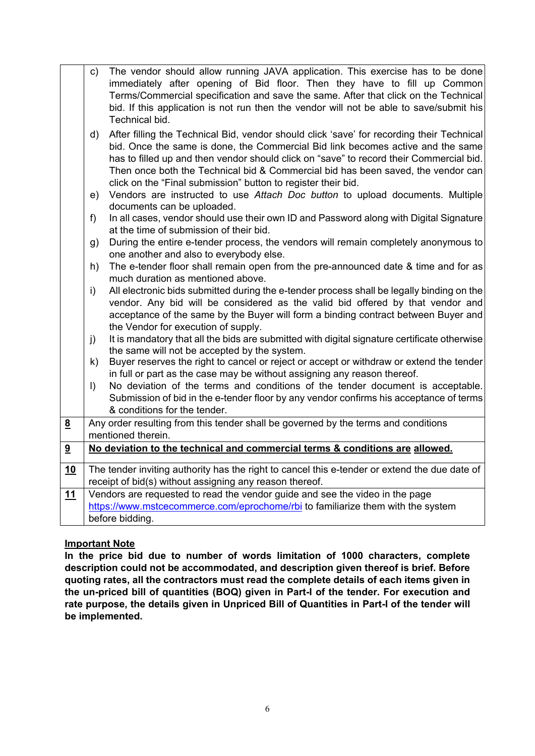|                         | $\mathsf{c})$ | The vendor should allow running JAVA application. This exercise has to be done<br>immediately after opening of Bid floor. Then they have to fill up Common<br>Terms/Commercial specification and save the same. After that click on the Technical<br>bid. If this application is not run then the vendor will not be able to save/submit his<br>Technical bid.                                                               |
|-------------------------|---------------|------------------------------------------------------------------------------------------------------------------------------------------------------------------------------------------------------------------------------------------------------------------------------------------------------------------------------------------------------------------------------------------------------------------------------|
|                         | d)            | After filling the Technical Bid, vendor should click 'save' for recording their Technical<br>bid. Once the same is done, the Commercial Bid link becomes active and the same<br>has to filled up and then vendor should click on "save" to record their Commercial bid.<br>Then once both the Technical bid & Commercial bid has been saved, the vendor can<br>click on the "Final submission" button to register their bid. |
|                         | e)            | Vendors are instructed to use Attach Doc button to upload documents. Multiple                                                                                                                                                                                                                                                                                                                                                |
|                         | f)            | documents can be uploaded.<br>In all cases, vendor should use their own ID and Password along with Digital Signature<br>at the time of submission of their bid.                                                                                                                                                                                                                                                              |
|                         | g)            | During the entire e-tender process, the vendors will remain completely anonymous to<br>one another and also to everybody else.                                                                                                                                                                                                                                                                                               |
|                         | h)            | The e-tender floor shall remain open from the pre-announced date & time and for as<br>much duration as mentioned above.                                                                                                                                                                                                                                                                                                      |
|                         | i)            | All electronic bids submitted during the e-tender process shall be legally binding on the<br>vendor. Any bid will be considered as the valid bid offered by that vendor and<br>acceptance of the same by the Buyer will form a binding contract between Buyer and<br>the Vendor for execution of supply.                                                                                                                     |
|                         | j)            | It is mandatory that all the bids are submitted with digital signature certificate otherwise<br>the same will not be accepted by the system.                                                                                                                                                                                                                                                                                 |
|                         | k)            | Buyer reserves the right to cancel or reject or accept or withdraw or extend the tender<br>in full or part as the case may be without assigning any reason thereof.                                                                                                                                                                                                                                                          |
|                         | $\vert$       | No deviation of the terms and conditions of the tender document is acceptable.<br>Submission of bid in the e-tender floor by any vendor confirms his acceptance of terms<br>& conditions for the tender.                                                                                                                                                                                                                     |
| $\overline{\mathbf{8}}$ |               | Any order resulting from this tender shall be governed by the terms and conditions<br>mentioned therein.                                                                                                                                                                                                                                                                                                                     |
| $\overline{\mathbf{3}}$ |               | No deviation to the technical and commercial terms & conditions are allowed.                                                                                                                                                                                                                                                                                                                                                 |
| 10                      |               | The tender inviting authority has the right to cancel this e-tender or extend the due date of                                                                                                                                                                                                                                                                                                                                |
|                         |               | receipt of bid(s) without assigning any reason thereof.                                                                                                                                                                                                                                                                                                                                                                      |
| <u> 11</u>              |               | Vendors are requested to read the vendor guide and see the video in the page                                                                                                                                                                                                                                                                                                                                                 |
|                         |               | https://www.mstcecommerce.com/eprochome/rbi to familiarize them with the system                                                                                                                                                                                                                                                                                                                                              |
|                         |               | before bidding.                                                                                                                                                                                                                                                                                                                                                                                                              |

#### **Important Note**

**In the price bid due to number of words limitation of 1000 characters, complete description could not be accommodated, and description given thereof is brief. Before quoting rates, all the contractors must read the complete details of each items given in the un-priced bill of quantities (BOQ) given in Part-I of the tender. For execution and rate purpose, the details given in Unpriced Bill of Quantities in Part-I of the tender will be implemented.**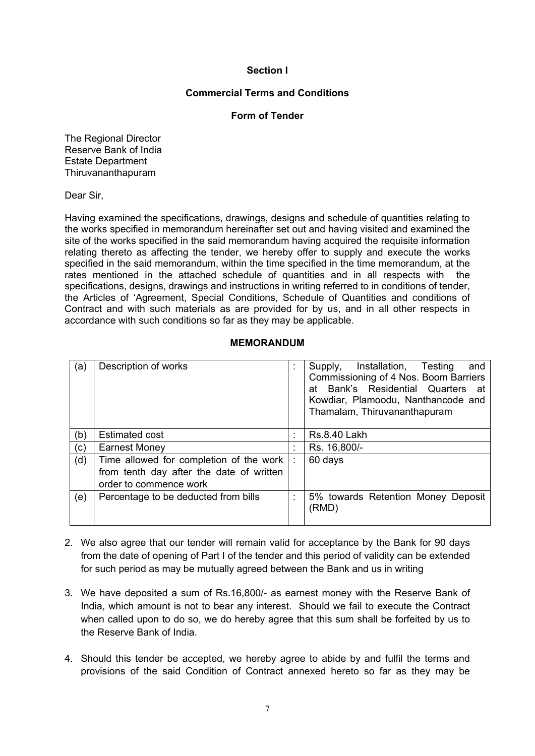#### **Section I**

#### **Commercial Terms and Conditions**

#### **Form of Tender**

The Regional Director Reserve Bank of India Estate Department Thiruvananthapuram

Dear Sir,

Having examined the specifications, drawings, designs and schedule of quantities relating to the works specified in memorandum hereinafter set out and having visited and examined the site of the works specified in the said memorandum having acquired the requisite information relating thereto as affecting the tender, we hereby offer to supply and execute the works specified in the said memorandum, within the time specified in the time memorandum, at the rates mentioned in the attached schedule of quantities and in all respects with the specifications, designs, drawings and instructions in writing referred to in conditions of tender, the Articles of 'Agreement, Special Conditions, Schedule of Quantities and conditions of Contract and with such materials as are provided for by us, and in all other respects in accordance with such conditions so far as they may be applicable.

#### **MEMORANDUM**

| (a) | Description of works                                                                                          | ÷ | Installation, Testing<br>Supply,<br>and<br>Commissioning of 4 Nos. Boom Barriers<br>at Bank's Residential Quarters<br>_at<br>Kowdiar, Plamoodu, Nanthancode and<br>Thamalam, Thiruvananthapuram |
|-----|---------------------------------------------------------------------------------------------------------------|---|-------------------------------------------------------------------------------------------------------------------------------------------------------------------------------------------------|
| (b) | <b>Estimated cost</b>                                                                                         | ٠ | <b>Rs.8.40 Lakh</b>                                                                                                                                                                             |
| (c) | <b>Earnest Money</b>                                                                                          | ÷ | Rs. 16,800/-                                                                                                                                                                                    |
| (d) | Time allowed for completion of the work<br>from tenth day after the date of written<br>order to commence work | ÷ | 60 days                                                                                                                                                                                         |
| (e) | Percentage to be deducted from bills                                                                          | ٠ | 5% towards Retention Money Deposit<br>(RMD)                                                                                                                                                     |

- 2. We also agree that our tender will remain valid for acceptance by the Bank for 90 days from the date of opening of Part I of the tender and this period of validity can be extended for such period as may be mutually agreed between the Bank and us in writing
- 3. We have deposited a sum of Rs.16,800/- as earnest money with the Reserve Bank of India, which amount is not to bear any interest. Should we fail to execute the Contract when called upon to do so, we do hereby agree that this sum shall be forfeited by us to the Reserve Bank of India.
- 4. Should this tender be accepted, we hereby agree to abide by and fulfil the terms and provisions of the said Condition of Contract annexed hereto so far as they may be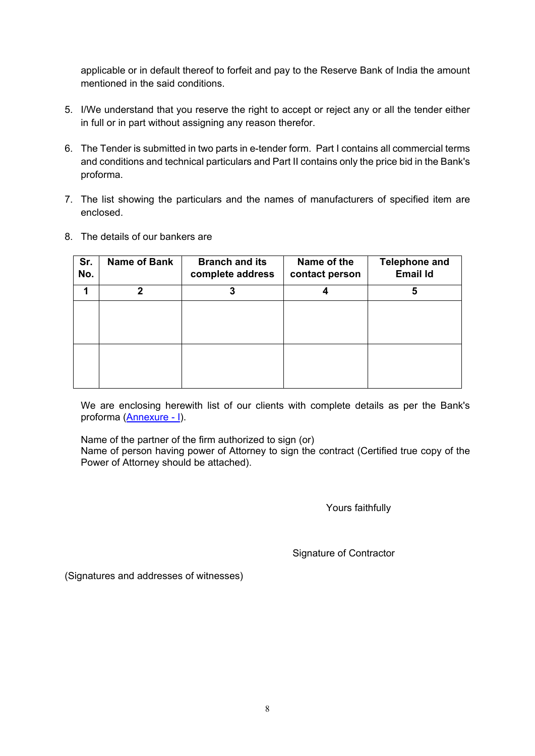applicable or in default thereof to forfeit and pay to the Reserve Bank of India the amount mentioned in the said conditions.

- 5. I/We understand that you reserve the right to accept or reject any or all the tender either in full or in part without assigning any reason therefor.
- 6. The Tender is submitted in two parts in e-tender form. Part I contains all commercial terms and conditions and technical particulars and Part II contains only the price bid in the Bank's proforma.
- 7. The list showing the particulars and the names of manufacturers of specified item are enclosed.
- 8. The details of our bankers are

| Sr.<br>No. | <b>Name of Bank</b> | <b>Branch and its</b><br>complete address | Name of the<br>contact person | <b>Telephone and</b><br><b>Email Id</b> |
|------------|---------------------|-------------------------------------------|-------------------------------|-----------------------------------------|
| 1          | 2                   | 3                                         | 4                             | 5                                       |
|            |                     |                                           |                               |                                         |
|            |                     |                                           |                               |                                         |
|            |                     |                                           |                               |                                         |
|            |                     |                                           |                               |                                         |
|            |                     |                                           |                               |                                         |
|            |                     |                                           |                               |                                         |

We are enclosing herewith list of our clients with complete details as per the Bank's proforma [\(Annexure - I\)](#page-38-0).

Name of the partner of the firm authorized to sign (or) Name of person having power of Attorney to sign the contract (Certified true copy of the Power of Attorney should be attached).

Yours faithfully

Signature of Contractor

(Signatures and addresses of witnesses)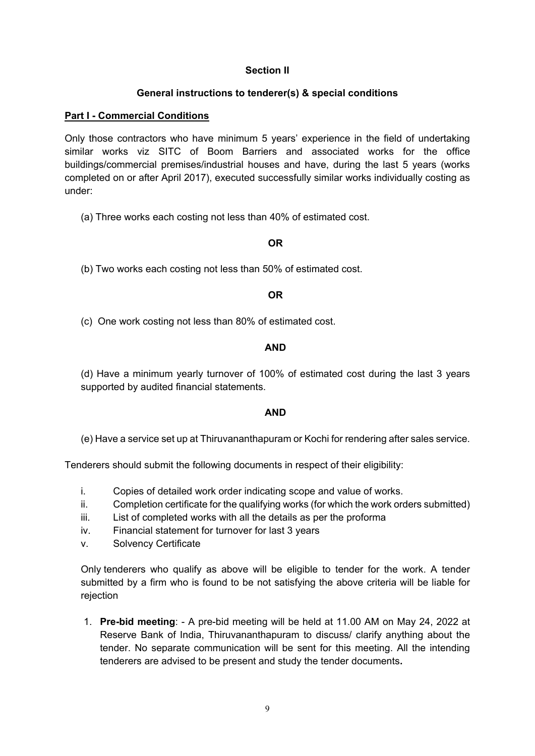#### **Section II**

## **General instructions to tenderer(s) & special conditions**

#### **Part I - Commercial Conditions**

Only those contractors who have minimum 5 years' experience in the field of undertaking similar works viz SITC of Boom Barriers and associated works for the office buildings/commercial premises/industrial houses and have, during the last 5 years (works completed on or after April 2017), executed successfully similar works individually costing as under:

(a) Three works each costing not less than 40% of estimated cost.

## **OR**

(b) Two works each costing not less than 50% of estimated cost.

#### **OR**

(c)One work costing not less than 80% of estimated cost.

#### **AND**

(d) Have a minimum yearly turnover of 100% of estimated cost during the last 3 years supported by audited financial statements.

#### **AND**

(e) Have a service set up at Thiruvananthapuram or Kochi for rendering after sales service.

Tenderers should submit the following documents in respect of their eligibility:

- i. Copies of detailed work order indicating scope and value of works.
- ii. Completion certificate for the qualifying works (for which the work orders submitted)
- iii. List of completed works with all the details as per the proforma
- iv. Financial statement for turnover for last 3 years
- v. Solvency Certificate

Only tenderers who qualify as above will be eligible to tender for the work. A tender submitted by a firm who is found to be not satisfying the above criteria will be liable for rejection

1. **Pre-bid meeting**: - A pre-bid meeting will be held at 11.00 AM on May 24, 2022 at Reserve Bank of India, Thiruvananthapuram to discuss/ clarify anything about the tender. No separate communication will be sent for this meeting. All the intending tenderers are advised to be present and study the tender documents**.**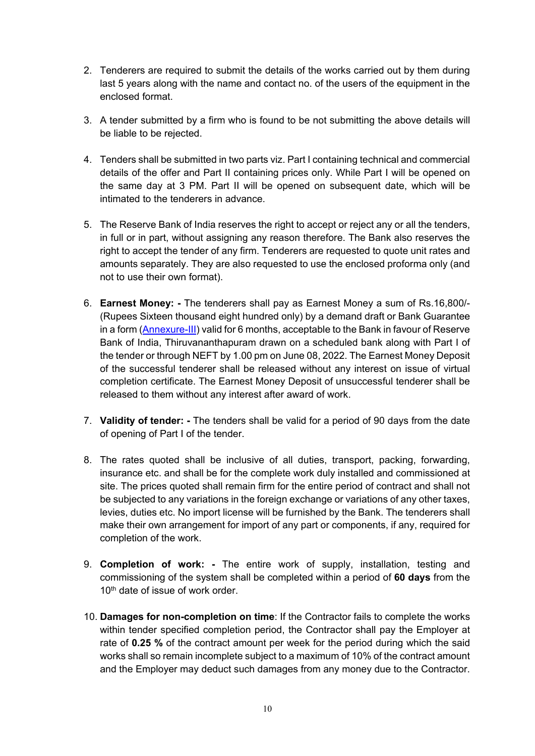- 2. Tenderers are required to submit the details of the works carried out by them during last 5 years along with the name and contact no. of the users of the equipment in the enclosed format.
- 3. A tender submitted by a firm who is found to be not submitting the above details will be liable to be rejected.
- 4. Tenders shall be submitted in two parts viz. Part I containing technical and commercial details of the offer and Part II containing prices only. While Part I will be opened on the same day at 3 PM. Part II will be opened on subsequent date, which will be intimated to the tenderers in advance.
- 5. The Reserve Bank of India reserves the right to accept or reject any or all the tenders, in full or in part, without assigning any reason therefore. The Bank also reserves the right to accept the tender of any firm. Tenderers are requested to quote unit rates and amounts separately. They are also requested to use the enclosed proforma only (and not to use their own format).
- 6. **Earnest Money:** The tenderers shall pay as Earnest Money a sum of Rs.16,800/- (Rupees Sixteen thousand eight hundred only) by a demand draft or Bank Guarantee in a form [\(Annexure-III\)](#page-40-1) valid for 6 months, acceptable to the Bank in favour of Reserve Bank of India, Thiruvananthapuram drawn on a scheduled bank along with Part I of the tender or through NEFT by 1.00 pm on June 08, 2022. The Earnest Money Deposit of the successful tenderer shall be released without any interest on issue of virtual completion certificate. The Earnest Money Deposit of unsuccessful tenderer shall be released to them without any interest after award of work.
- 7. **Validity of tender:** The tenders shall be valid for a period of 90 days from the date of opening of Part I of the tender.
- 8. The rates quoted shall be inclusive of all duties, transport, packing, forwarding, insurance etc. and shall be for the complete work duly installed and commissioned at site. The prices quoted shall remain firm for the entire period of contract and shall not be subjected to any variations in the foreign exchange or variations of any other taxes, levies, duties etc. No import license will be furnished by the Bank. The tenderers shall make their own arrangement for import of any part or components, if any, required for completion of the work.
- 9. **Completion of work: -** The entire work of supply, installation, testing and commissioning of the system shall be completed within a period of **60 days** from the 10<sup>th</sup> date of issue of work order.
- 10. **Damages for non-completion on time**: If the Contractor fails to complete the works within tender specified completion period, the Contractor shall pay the Employer at rate of **0.25 %** of the contract amount per week for the period during which the said works shall so remain incomplete subject to a maximum of 10% of the contract amount and the Employer may deduct such damages from any money due to the Contractor.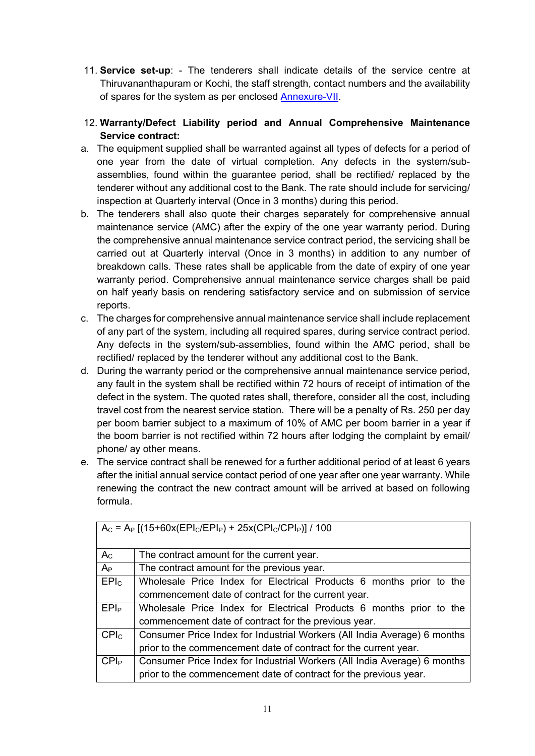- 11. **Service set-up**: The tenderers shall indicate details of the service centre at Thiruvananthapuram or Kochi, the staff strength, contact numbers and the availability of spares for the system as per enclosed [Annexure-VII.](#page-49-0)
- 12. **Warranty/Defect Liability period and Annual Comprehensive Maintenance Service contract:**
- a. The equipment supplied shall be warranted against all types of defects for a period of one year from the date of virtual completion. Any defects in the system/subassemblies, found within the guarantee period, shall be rectified/ replaced by the tenderer without any additional cost to the Bank. The rate should include for servicing/ inspection at Quarterly interval (Once in 3 months) during this period.
- b. The tenderers shall also quote their charges separately for comprehensive annual maintenance service (AMC) after the expiry of the one year warranty period. During the comprehensive annual maintenance service contract period, the servicing shall be carried out at Quarterly interval (Once in 3 months) in addition to any number of breakdown calls. These rates shall be applicable from the date of expiry of one year warranty period. Comprehensive annual maintenance service charges shall be paid on half yearly basis on rendering satisfactory service and on submission of service reports.
- c. The charges for comprehensive annual maintenance service shall include replacement of any part of the system, including all required spares, during service contract period. Any defects in the system/sub-assemblies, found within the AMC period, shall be rectified/ replaced by the tenderer without any additional cost to the Bank.
- d. During the warranty period or the comprehensive annual maintenance service period, any fault in the system shall be rectified within 72 hours of receipt of intimation of the defect in the system. The quoted rates shall, therefore, consider all the cost, including travel cost from the nearest service station. There will be a penalty of Rs. 250 per day per boom barrier subject to a maximum of 10% of AMC per boom barrier in a year if the boom barrier is not rectified within 72 hours after lodging the complaint by email/ phone/ ay other means.
- e. The service contract shall be renewed for a further additional period of at least 6 years after the initial annual service contact period of one year after one year warranty. While renewing the contract the new contract amount will be arrived at based on following formula.

| $A_C = A_P [(15+60x(EPI_C/EPI_P) + 25x(CPI_C/CPI_P)] / 100$ |                                                                          |  |
|-------------------------------------------------------------|--------------------------------------------------------------------------|--|
| $A_{C}$                                                     | The contract amount for the current year.                                |  |
| $A_{P}$                                                     | The contract amount for the previous year.                               |  |
| EPI <sub>c</sub>                                            | Wholesale Price Index for Electrical Products 6 months prior to the      |  |
|                                                             | commencement date of contract for the current year.                      |  |
| EPI <sub>P</sub>                                            | Wholesale Price Index for Electrical Products 6 months prior to the      |  |
|                                                             | commencement date of contract for the previous year.                     |  |
| CPI <sub>c</sub>                                            | Consumer Price Index for Industrial Workers (All India Average) 6 months |  |
|                                                             | prior to the commencement date of contract for the current year.         |  |
| CPI <sub>P</sub>                                            | Consumer Price Index for Industrial Workers (All India Average) 6 months |  |
|                                                             | prior to the commencement date of contract for the previous year.        |  |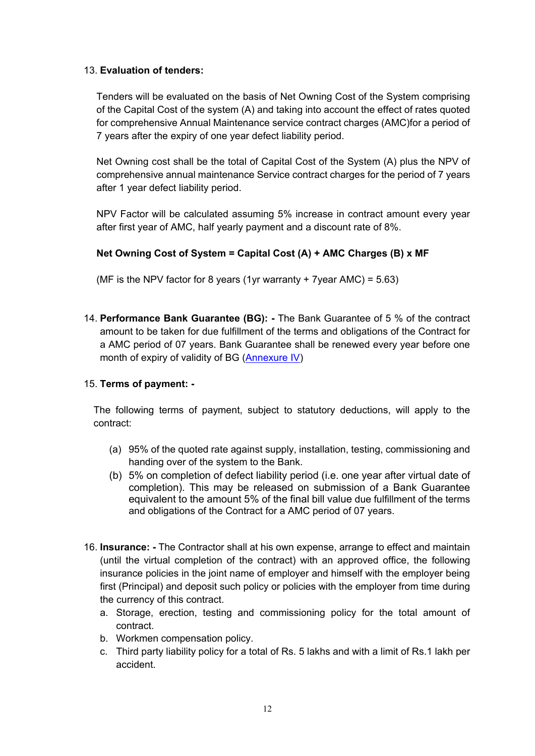### 13. **Evaluation of tenders:**

Tenders will be evaluated on the basis of Net Owning Cost of the System comprising of the Capital Cost of the system (A) and taking into account the effect of rates quoted for comprehensive Annual Maintenance service contract charges (AMC)for a period of 7 years after the expiry of one year defect liability period.

Net Owning cost shall be the total of Capital Cost of the System (A) plus the NPV of comprehensive annual maintenance Service contract charges for the period of 7 years after 1 year defect liability period.

NPV Factor will be calculated assuming 5% increase in contract amount every year after first year of AMC, half yearly payment and a discount rate of 8%.

## **Net Owning Cost of System = Capital Cost (A) + AMC Charges (B) x MF**

(MF is the NPV factor for 8 years (1yr warranty + 7 year AMC) =  $5.63$ )

14. **Performance Bank Guarantee (BG): -** The Bank Guarantee of 5 % of the contract amount to be taken for due fulfillment of the terms and obligations of the Contract for a AMC period of 07 years. Bank Guarantee shall be renewed every year before one month of expiry of validity of BG [\(Annexure IV\)](#page-42-0)

#### 15. **Terms of payment: -**

The following terms of payment, subject to statutory deductions, will apply to the contract:

- (a) 95% of the quoted rate against supply, installation, testing, commissioning and handing over of the system to the Bank.
- (b) 5% on completion of defect liability period (i.e. one year after virtual date of completion). This may be released on submission of a Bank Guarantee equivalent to the amount 5% of the final bill value due fulfillment of the terms and obligations of the Contract for a AMC period of 07 years.
- 16. **Insurance: -** The Contractor shall at his own expense, arrange to effect and maintain (until the virtual completion of the contract) with an approved office, the following insurance policies in the joint name of employer and himself with the employer being first (Principal) and deposit such policy or policies with the employer from time during the currency of this contract.
	- a. Storage, erection, testing and commissioning policy for the total amount of contract.
	- b. Workmen compensation policy.
	- c. Third party liability policy for a total of Rs. 5 lakhs and with a limit of Rs.1 lakh per accident.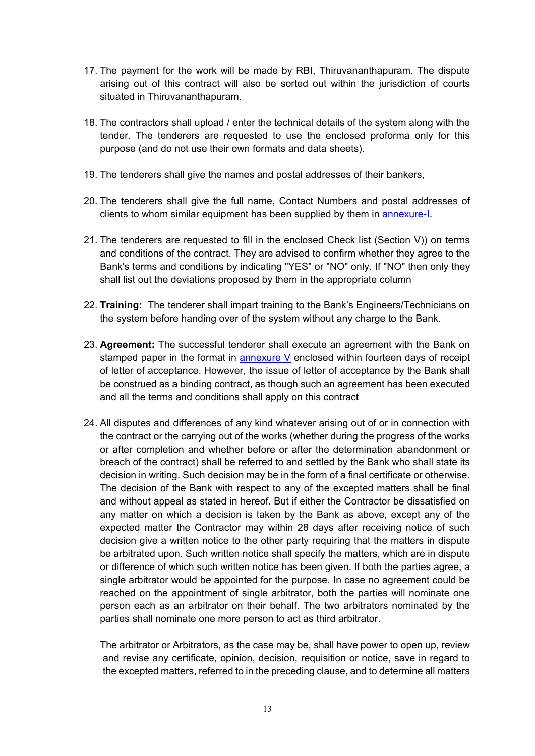- 17. The payment for the work will be made by RBI, Thiruvananthapuram. The dispute arising out of this contract will also be sorted out within the jurisdiction of courts situated in Thiruvananthapuram.
- 18. The contractors shall upload / enter the technical details of the system along with the tender. The tenderers are requested to use the enclosed proforma only for this purpose (and do not use their own formats and data sheets).
- 19. The tenderers shall give the names and postal addresses of their bankers,
- 20. The tenderers shall give the full name, Contact Numbers and postal addresses of clients to whom similar equipment has been supplied by them in [annexure-I.](#page-38-0)
- 21. The tenderers are requested to fill in the enclosed Check list (Section V)) on terms and conditions of the contract. They are advised to confirm whether they agree to the Bank's terms and conditions by indicating "YES" or "NO" only. If "NO" then only they shall list out the deviations proposed by them in the appropriate column
- 22. **Training:** The tenderer shall impart training to the Bank's Engineers/Technicians on the system before handing over of the system without any charge to the Bank.
- 23. **Agreement:** The successful tenderer shall execute an agreement with the Bank on stamped paper in the format in **annexure V** enclosed within fourteen days of receipt of letter of acceptance. However, the issue of letter of acceptance by the Bank shall be construed as a binding contract, as though such an agreement has been executed and all the terms and conditions shall apply on this contract
- 24. All disputes and differences of any kind whatever arising out of or in connection with the contract or the carrying out of the works (whether during the progress of the works or after completion and whether before or after the determination abandonment or breach of the contract) shall be referred to and settled by the Bank who shall state its decision in writing. Such decision may be in the form of a final certificate or otherwise. The decision of the Bank with respect to any of the excepted matters shall be final and without appeal as stated in hereof. But if either the Contractor be dissatisfied on any matter on which a decision is taken by the Bank as above, except any of the expected matter the Contractor may within 28 days after receiving notice of such decision give a written notice to the other party requiring that the matters in dispute be arbitrated upon. Such written notice shall specify the matters, which are in dispute or difference of which such written notice has been given. If both the parties agree, a single arbitrator would be appointed for the purpose. In case no agreement could be reached on the appointment of single arbitrator, both the parties will nominate one person each as an arbitrator on their behalf. The two arbitrators nominated by the parties shall nominate one more person to act as third arbitrator.

The arbitrator or Arbitrators, as the case may be, shall have power to open up, review and revise any certificate, opinion, decision, requisition or notice, save in regard to the excepted matters, referred to in the preceding clause, and to determine all matters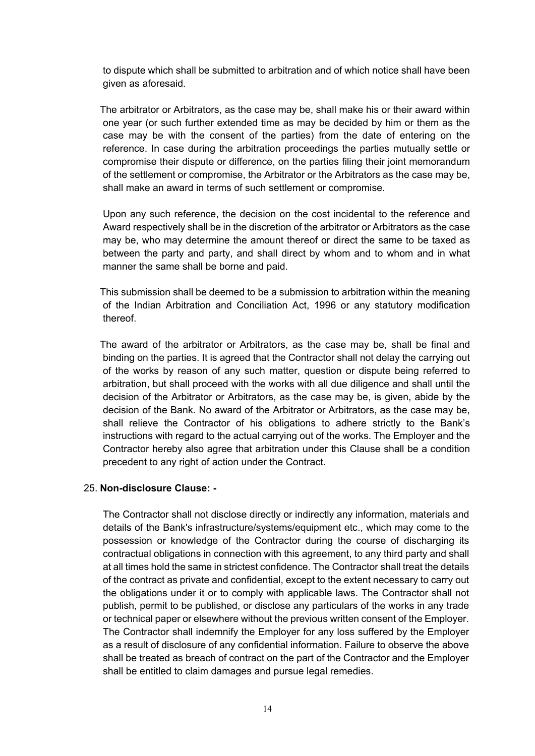to dispute which shall be submitted to arbitration and of which notice shall have been given as aforesaid.

The arbitrator or Arbitrators, as the case may be, shall make his or their award within one year (or such further extended time as may be decided by him or them as the case may be with the consent of the parties) from the date of entering on the reference. In case during the arbitration proceedings the parties mutually settle or compromise their dispute or difference, on the parties filing their joint memorandum of the settlement or compromise, the Arbitrator or the Arbitrators as the case may be, shall make an award in terms of such settlement or compromise.

Upon any such reference, the decision on the cost incidental to the reference and Award respectively shall be in the discretion of the arbitrator or Arbitrators as the case may be, who may determine the amount thereof or direct the same to be taxed as between the party and party, and shall direct by whom and to whom and in what manner the same shall be borne and paid.

This submission shall be deemed to be a submission to arbitration within the meaning of the Indian Arbitration and Conciliation Act, 1996 or any statutory modification thereof.

The award of the arbitrator or Arbitrators, as the case may be, shall be final and binding on the parties. It is agreed that the Contractor shall not delay the carrying out of the works by reason of any such matter, question or dispute being referred to arbitration, but shall proceed with the works with all due diligence and shall until the decision of the Arbitrator or Arbitrators, as the case may be, is given, abide by the decision of the Bank. No award of the Arbitrator or Arbitrators, as the case may be, shall relieve the Contractor of his obligations to adhere strictly to the Bank's instructions with regard to the actual carrying out of the works. The Employer and the Contractor hereby also agree that arbitration under this Clause shall be a condition precedent to any right of action under the Contract.

#### 25. **Non-disclosure Clause: -**

The Contractor shall not disclose directly or indirectly any information, materials and details of the Bank's infrastructure/systems/equipment etc., which may come to the possession or knowledge of the Contractor during the course of discharging its contractual obligations in connection with this agreement, to any third party and shall at all times hold the same in strictest confidence. The Contractor shall treat the details of the contract as private and confidential, except to the extent necessary to carry out the obligations under it or to comply with applicable laws. The Contractor shall not publish, permit to be published, or disclose any particulars of the works in any trade or technical paper or elsewhere without the previous written consent of the Employer. The Contractor shall indemnify the Employer for any loss suffered by the Employer as a result of disclosure of any confidential information. Failure to observe the above shall be treated as breach of contract on the part of the Contractor and the Employer shall be entitled to claim damages and pursue legal remedies.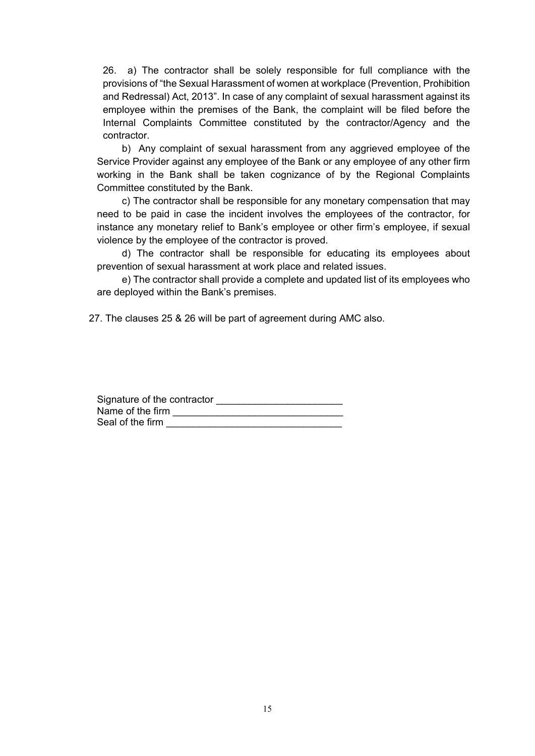26. a) The contractor shall be solely responsible for full compliance with the provisions of "the Sexual Harassment of women at workplace (Prevention, Prohibition and Redressal) Act, 2013". In case of any complaint of sexual harassment against its employee within the premises of the Bank, the complaint will be filed before the Internal Complaints Committee constituted by the contractor/Agency and the contractor.

b) Any complaint of sexual harassment from any aggrieved employee of the Service Provider against any employee of the Bank or any employee of any other firm working in the Bank shall be taken cognizance of by the Regional Complaints Committee constituted by the Bank.

c) The contractor shall be responsible for any monetary compensation that may need to be paid in case the incident involves the employees of the contractor, for instance any monetary relief to Bank's employee or other firm's employee, if sexual violence by the employee of the contractor is proved.

d) The contractor shall be responsible for educating its employees about prevention of sexual harassment at work place and related issues.

e) The contractor shall provide a complete and updated list of its employees who are deployed within the Bank's premises.

27. The clauses 25 & 26 will be part of agreement during AMC also.

| Signature of the contractor |  |
|-----------------------------|--|
| Name of the firm            |  |
| Seal of the firm            |  |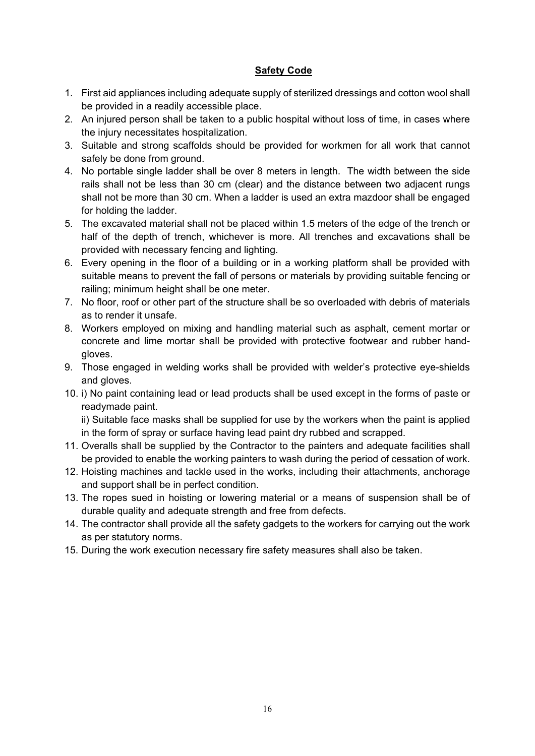## **Safety Code**

- 1. First aid appliances including adequate supply of sterilized dressings and cotton wool shall be provided in a readily accessible place.
- 2. An injured person shall be taken to a public hospital without loss of time, in cases where the injury necessitates hospitalization.
- 3. Suitable and strong scaffolds should be provided for workmen for all work that cannot safely be done from ground.
- 4. No portable single ladder shall be over 8 meters in length. The width between the side rails shall not be less than 30 cm (clear) and the distance between two adjacent rungs shall not be more than 30 cm. When a ladder is used an extra mazdoor shall be engaged for holding the ladder.
- 5. The excavated material shall not be placed within 1.5 meters of the edge of the trench or half of the depth of trench, whichever is more. All trenches and excavations shall be provided with necessary fencing and lighting.
- 6. Every opening in the floor of a building or in a working platform shall be provided with suitable means to prevent the fall of persons or materials by providing suitable fencing or railing; minimum height shall be one meter.
- 7. No floor, roof or other part of the structure shall be so overloaded with debris of materials as to render it unsafe.
- 8. Workers employed on mixing and handling material such as asphalt, cement mortar or concrete and lime mortar shall be provided with protective footwear and rubber handgloves.
- 9. Those engaged in welding works shall be provided with welder's protective eye-shields and gloves.
- 10. i) No paint containing lead or lead products shall be used except in the forms of paste or readymade paint.

ii) Suitable face masks shall be supplied for use by the workers when the paint is applied in the form of spray or surface having lead paint dry rubbed and scrapped.

- 11. Overalls shall be supplied by the Contractor to the painters and adequate facilities shall be provided to enable the working painters to wash during the period of cessation of work.
- 12. Hoisting machines and tackle used in the works, including their attachments, anchorage and support shall be in perfect condition.
- 13. The ropes sued in hoisting or lowering material or a means of suspension shall be of durable quality and adequate strength and free from defects.
- 14. The contractor shall provide all the safety gadgets to the workers for carrying out the work as per statutory norms.
- 15. During the work execution necessary fire safety measures shall also be taken.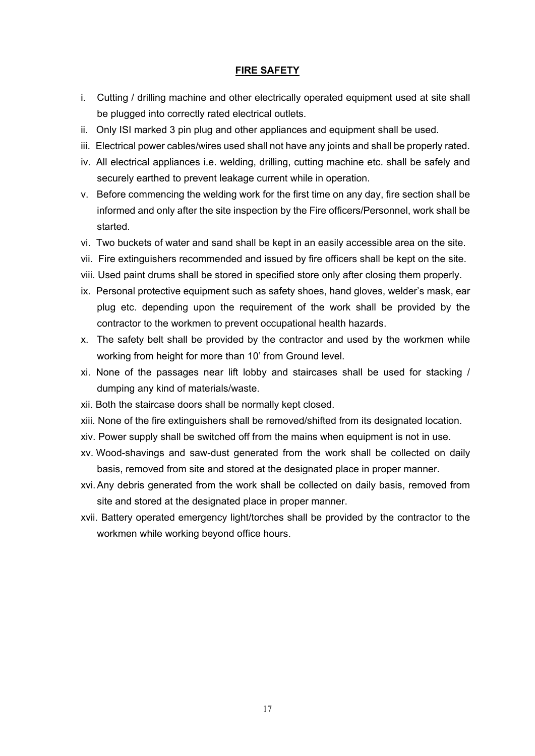#### **FIRE SAFETY**

- i. Cutting / drilling machine and other electrically operated equipment used at site shall be plugged into correctly rated electrical outlets.
- ii. Only ISI marked 3 pin plug and other appliances and equipment shall be used.
- iii. Electrical power cables/wires used shall not have any joints and shall be properly rated.
- iv. All electrical appliances i.e. welding, drilling, cutting machine etc. shall be safely and securely earthed to prevent leakage current while in operation.
- v. Before commencing the welding work for the first time on any day, fire section shall be informed and only after the site inspection by the Fire officers/Personnel, work shall be started.
- vi. Two buckets of water and sand shall be kept in an easily accessible area on the site.
- vii. Fire extinguishers recommended and issued by fire officers shall be kept on the site.
- viii. Used paint drums shall be stored in specified store only after closing them properly.
- ix. Personal protective equipment such as safety shoes, hand gloves, welder's mask, ear plug etc. depending upon the requirement of the work shall be provided by the contractor to the workmen to prevent occupational health hazards.
- x. The safety belt shall be provided by the contractor and used by the workmen while working from height for more than 10' from Ground level.
- xi. None of the passages near lift lobby and staircases shall be used for stacking / dumping any kind of materials/waste.
- xii. Both the staircase doors shall be normally kept closed.
- xiii. None of the fire extinguishers shall be removed/shifted from its designated location.
- xiv. Power supply shall be switched off from the mains when equipment is not in use.
- xv. Wood-shavings and saw-dust generated from the work shall be collected on daily basis, removed from site and stored at the designated place in proper manner.
- xvi.Any debris generated from the work shall be collected on daily basis, removed from site and stored at the designated place in proper manner.
- xvii. Battery operated emergency light/torches shall be provided by the contractor to the workmen while working beyond office hours.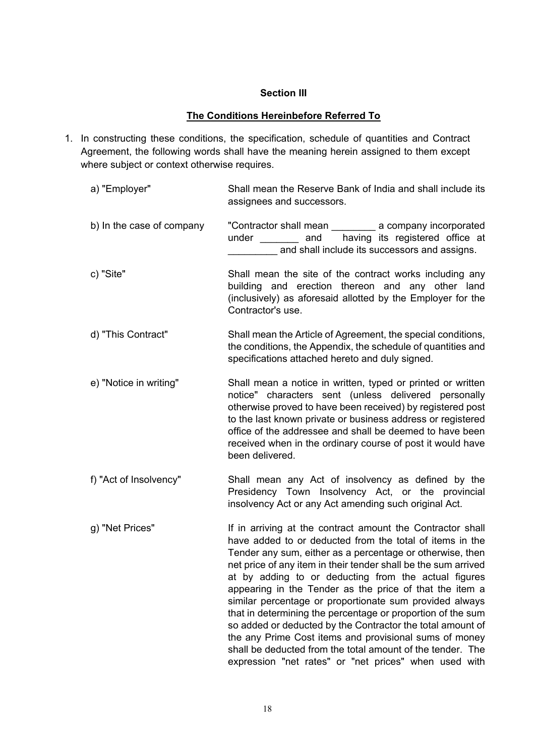#### **Section III**

#### **The Conditions Hereinbefore Referred To**

- 1. In constructing these conditions, the specification, schedule of quantities and Contract Agreement, the following words shall have the meaning herein assigned to them except where subject or context otherwise requires.
	- a) "Employer" Shall mean the Reserve Bank of India and shall include its assignees and successors. b) In the case of company "Contractor shall mean \_\_\_\_\_\_\_\_\_ a company incorporated under and having its registered office at and shall include its successors and assigns. c) "Site" Shall mean the site of the contract works including any building and erection thereon and any other land (inclusively) as aforesaid allotted by the Employer for the Contractor's use. d) "This Contract" Shall mean the Article of Agreement, the special conditions, the conditions, the Appendix, the schedule of quantities and specifications attached hereto and duly signed. e) "Notice in writing" Shall mean a notice in written, typed or printed or written notice" characters sent (unless delivered personally otherwise proved to have been received) by registered post to the last known private or business address or registered office of the addressee and shall be deemed to have been received when in the ordinary course of post it would have been delivered. f) "Act of Insolvency" Shall mean any Act of insolvency as defined by the Presidency Town Insolvency Act, or the provincial insolvency Act or any Act amending such original Act. g) "Net Prices" If in arriving at the contract amount the Contractor shall have added to or deducted from the total of items in the Tender any sum, either as a percentage or otherwise, then net price of any item in their tender shall be the sum arrived at by adding to or deducting from the actual figures appearing in the Tender as the price of that the item a similar percentage or proportionate sum provided always that in determining the percentage or proportion of the sum so added or deducted by the Contractor the total amount of the any Prime Cost items and provisional sums of money shall be deducted from the total amount of the tender. The

expression "net rates" or "net prices" when used with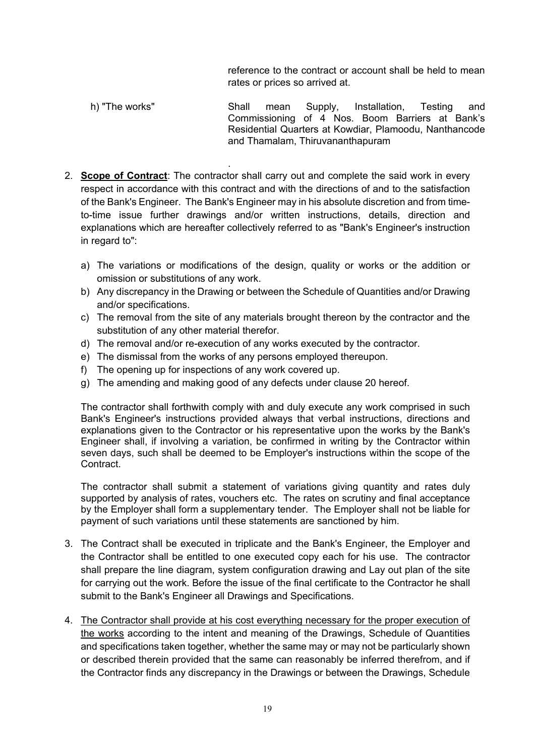reference to the contract or account shall be held to mean rates or prices so arrived at.

- h) "The works" Shall mean Supply, Installation, Testing and Commissioning of 4 Nos. Boom Barriers at Bank's Residential Quarters at Kowdiar, Plamoodu, Nanthancode and Thamalam, Thiruvananthapuram
- . 2. **Scope of Contract**: The contractor shall carry out and complete the said work in every respect in accordance with this contract and with the directions of and to the satisfaction of the Bank's Engineer. The Bank's Engineer may in his absolute discretion and from timeto-time issue further drawings and/or written instructions, details, direction and explanations which are hereafter collectively referred to as "Bank's Engineer's instruction in regard to":
	- a) The variations or modifications of the design, quality or works or the addition or omission or substitutions of any work.
	- b) Any discrepancy in the Drawing or between the Schedule of Quantities and/or Drawing and/or specifications.
	- c) The removal from the site of any materials brought thereon by the contractor and the substitution of any other material therefor.
	- d) The removal and/or re-execution of any works executed by the contractor.
	- e) The dismissal from the works of any persons employed thereupon.
	- f) The opening up for inspections of any work covered up.
	- g) The amending and making good of any defects under clause 20 hereof.

The contractor shall forthwith comply with and duly execute any work comprised in such Bank's Engineer's instructions provided always that verbal instructions, directions and explanations given to the Contractor or his representative upon the works by the Bank's Engineer shall, if involving a variation, be confirmed in writing by the Contractor within seven days, such shall be deemed to be Employer's instructions within the scope of the Contract.

The contractor shall submit a statement of variations giving quantity and rates duly supported by analysis of rates, vouchers etc. The rates on scrutiny and final acceptance by the Employer shall form a supplementary tender. The Employer shall not be liable for payment of such variations until these statements are sanctioned by him.

- 3. The Contract shall be executed in triplicate and the Bank's Engineer, the Employer and the Contractor shall be entitled to one executed copy each for his use. The contractor shall prepare the line diagram, system configuration drawing and Lay out plan of the site for carrying out the work. Before the issue of the final certificate to the Contractor he shall submit to the Bank's Engineer all Drawings and Specifications.
- 4. The Contractor shall provide at his cost everything necessary for the proper execution of the works according to the intent and meaning of the Drawings, Schedule of Quantities and specifications taken together, whether the same may or may not be particularly shown or described therein provided that the same can reasonably be inferred therefrom, and if the Contractor finds any discrepancy in the Drawings or between the Drawings, Schedule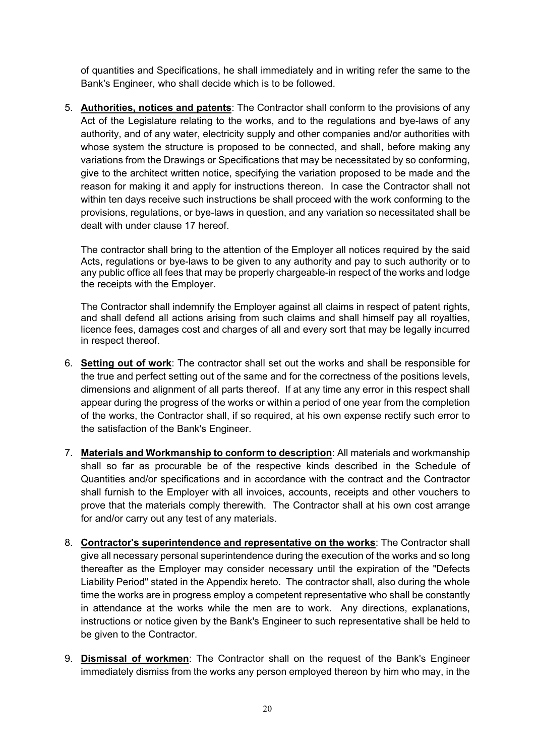of quantities and Specifications, he shall immediately and in writing refer the same to the Bank's Engineer, who shall decide which is to be followed.

5. **Authorities, notices and patents**: The Contractor shall conform to the provisions of any Act of the Legislature relating to the works, and to the regulations and bye-laws of any authority, and of any water, electricity supply and other companies and/or authorities with whose system the structure is proposed to be connected, and shall, before making any variations from the Drawings or Specifications that may be necessitated by so conforming, give to the architect written notice, specifying the variation proposed to be made and the reason for making it and apply for instructions thereon. In case the Contractor shall not within ten days receive such instructions be shall proceed with the work conforming to the provisions, regulations, or bye-laws in question, and any variation so necessitated shall be dealt with under clause 17 hereof.

The contractor shall bring to the attention of the Employer all notices required by the said Acts, regulations or bye-laws to be given to any authority and pay to such authority or to any public office all fees that may be properly chargeable-in respect of the works and lodge the receipts with the Employer.

The Contractor shall indemnify the Employer against all claims in respect of patent rights, and shall defend all actions arising from such claims and shall himself pay all royalties, licence fees, damages cost and charges of all and every sort that may be legally incurred in respect thereof.

- 6. **Setting out of work**: The contractor shall set out the works and shall be responsible for the true and perfect setting out of the same and for the correctness of the positions levels, dimensions and alignment of all parts thereof. If at any time any error in this respect shall appear during the progress of the works or within a period of one year from the completion of the works, the Contractor shall, if so required, at his own expense rectify such error to the satisfaction of the Bank's Engineer.
- 7. **Materials and Workmanship to conform to description**: All materials and workmanship shall so far as procurable be of the respective kinds described in the Schedule of Quantities and/or specifications and in accordance with the contract and the Contractor shall furnish to the Employer with all invoices, accounts, receipts and other vouchers to prove that the materials comply therewith. The Contractor shall at his own cost arrange for and/or carry out any test of any materials.
- 8. **Contractor's superintendence and representative on the works**: The Contractor shall give all necessary personal superintendence during the execution of the works and so long thereafter as the Employer may consider necessary until the expiration of the "Defects Liability Period" stated in the Appendix hereto. The contractor shall, also during the whole time the works are in progress employ a competent representative who shall be constantly in attendance at the works while the men are to work. Any directions, explanations, instructions or notice given by the Bank's Engineer to such representative shall be held to be given to the Contractor.
- 9. **Dismissal of workmen**: The Contractor shall on the request of the Bank's Engineer immediately dismiss from the works any person employed thereon by him who may, in the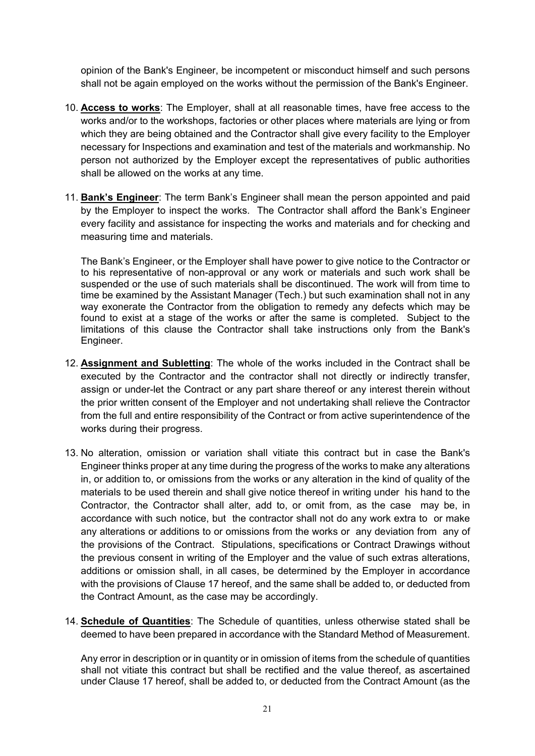opinion of the Bank's Engineer, be incompetent or misconduct himself and such persons shall not be again employed on the works without the permission of the Bank's Engineer.

- 10. **Access to works**: The Employer, shall at all reasonable times, have free access to the works and/or to the workshops, factories or other places where materials are lying or from which they are being obtained and the Contractor shall give every facility to the Employer necessary for Inspections and examination and test of the materials and workmanship. No person not authorized by the Employer except the representatives of public authorities shall be allowed on the works at any time.
- 11. **Bank's Engineer**: The term Bank's Engineer shall mean the person appointed and paid by the Employer to inspect the works. The Contractor shall afford the Bank's Engineer every facility and assistance for inspecting the works and materials and for checking and measuring time and materials.

The Bank's Engineer, or the Employer shall have power to give notice to the Contractor or to his representative of non-approval or any work or materials and such work shall be suspended or the use of such materials shall be discontinued. The work will from time to time be examined by the Assistant Manager (Tech.) but such examination shall not in any way exonerate the Contractor from the obligation to remedy any defects which may be found to exist at a stage of the works or after the same is completed. Subject to the limitations of this clause the Contractor shall take instructions only from the Bank's Engineer.

- 12. **Assignment and Subletting**: The whole of the works included in the Contract shall be executed by the Contractor and the contractor shall not directly or indirectly transfer, assign or under-let the Contract or any part share thereof or any interest therein without the prior written consent of the Employer and not undertaking shall relieve the Contractor from the full and entire responsibility of the Contract or from active superintendence of the works during their progress.
- 13. No alteration, omission or variation shall vitiate this contract but in case the Bank's Engineer thinks proper at any time during the progress of the works to make any alterations in, or addition to, or omissions from the works or any alteration in the kind of quality of the materials to be used therein and shall give notice thereof in writing under his hand to the Contractor, the Contractor shall alter, add to, or omit from, as the case may be, in accordance with such notice, but the contractor shall not do any work extra to or make any alterations or additions to or omissions from the works or any deviation from any of the provisions of the Contract. Stipulations, specifications or Contract Drawings without the previous consent in writing of the Employer and the value of such extras alterations, additions or omission shall, in all cases, be determined by the Employer in accordance with the provisions of Clause 17 hereof, and the same shall be added to, or deducted from the Contract Amount, as the case may be accordingly.
- 14. **Schedule of Quantities**: The Schedule of quantities, unless otherwise stated shall be deemed to have been prepared in accordance with the Standard Method of Measurement.

Any error in description or in quantity or in omission of items from the schedule of quantities shall not vitiate this contract but shall be rectified and the value thereof, as ascertained under Clause 17 hereof, shall be added to, or deducted from the Contract Amount (as the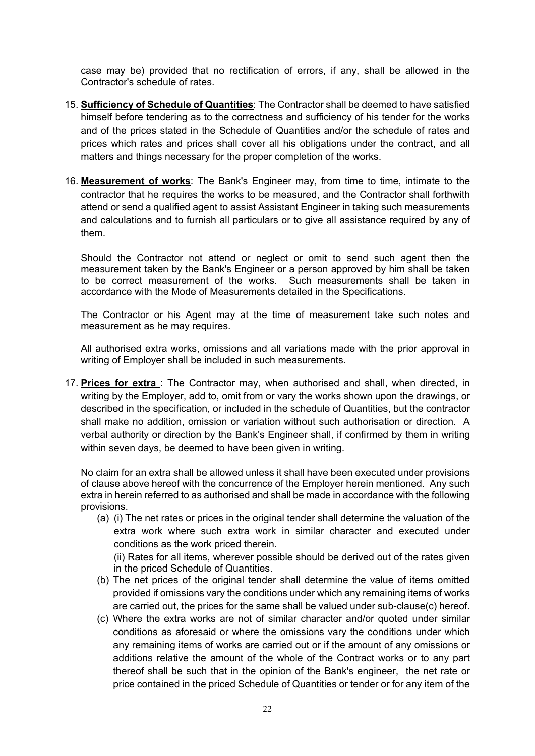case may be) provided that no rectification of errors, if any, shall be allowed in the Contractor's schedule of rates.

- 15. **Sufficiency of Schedule of Quantities**: The Contractor shall be deemed to have satisfied himself before tendering as to the correctness and sufficiency of his tender for the works and of the prices stated in the Schedule of Quantities and/or the schedule of rates and prices which rates and prices shall cover all his obligations under the contract, and all matters and things necessary for the proper completion of the works.
- 16. **Measurement of works**: The Bank's Engineer may, from time to time, intimate to the contractor that he requires the works to be measured, and the Contractor shall forthwith attend or send a qualified agent to assist Assistant Engineer in taking such measurements and calculations and to furnish all particulars or to give all assistance required by any of them.

Should the Contractor not attend or neglect or omit to send such agent then the measurement taken by the Bank's Engineer or a person approved by him shall be taken to be correct measurement of the works. Such measurements shall be taken in accordance with the Mode of Measurements detailed in the Specifications.

The Contractor or his Agent may at the time of measurement take such notes and measurement as he may requires.

All authorised extra works, omissions and all variations made with the prior approval in writing of Employer shall be included in such measurements.

17. **Prices for extra** : The Contractor may, when authorised and shall, when directed, in writing by the Employer, add to, omit from or vary the works shown upon the drawings, or described in the specification, or included in the schedule of Quantities, but the contractor shall make no addition, omission or variation without such authorisation or direction. A verbal authority or direction by the Bank's Engineer shall, if confirmed by them in writing within seven days, be deemed to have been given in writing.

No claim for an extra shall be allowed unless it shall have been executed under provisions of clause above hereof with the concurrence of the Employer herein mentioned. Any such extra in herein referred to as authorised and shall be made in accordance with the following provisions.

(a) (i) The net rates or prices in the original tender shall determine the valuation of the extra work where such extra work in similar character and executed under conditions as the work priced therein.

(ii) Rates for all items, wherever possible should be derived out of the rates given in the priced Schedule of Quantities.

- (b) The net prices of the original tender shall determine the value of items omitted provided if omissions vary the conditions under which any remaining items of works are carried out, the prices for the same shall be valued under sub-clause(c) hereof.
- (c) Where the extra works are not of similar character and/or quoted under similar conditions as aforesaid or where the omissions vary the conditions under which any remaining items of works are carried out or if the amount of any omissions or additions relative the amount of the whole of the Contract works or to any part thereof shall be such that in the opinion of the Bank's engineer, the net rate or price contained in the priced Schedule of Quantities or tender or for any item of the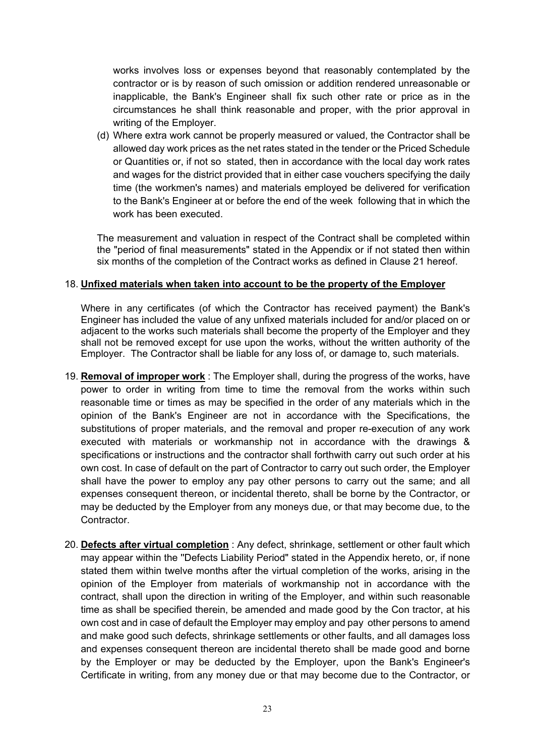works involves loss or expenses beyond that reasonably contemplated by the contractor or is by reason of such omission or addition rendered unreasonable or inapplicable, the Bank's Engineer shall fix such other rate or price as in the circumstances he shall think reasonable and proper, with the prior approval in writing of the Employer.

(d) Where extra work cannot be properly measured or valued, the Contractor shall be allowed day work prices as the net rates stated in the tender or the Priced Schedule or Quantities or, if not so stated, then in accordance with the local day work rates and wages for the district provided that in either case vouchers specifying the daily time (the workmen's names) and materials employed be delivered for verification to the Bank's Engineer at or before the end of the week following that in which the work has been executed.

The measurement and valuation in respect of the Contract shall be completed within the "period of final measurements" stated in the Appendix or if not stated then within six months of the completion of the Contract works as defined in Clause 21 hereof.

#### 18. **Unfixed materials when taken into account to be the property of the Employer**

Where in any certificates (of which the Contractor has received payment) the Bank's Engineer has included the value of any unfixed materials included for and/or placed on or adjacent to the works such materials shall become the property of the Employer and they shall not be removed except for use upon the works, without the written authority of the Employer. The Contractor shall be liable for any loss of, or damage to, such materials.

- 19. **Removal of improper work** : The Employer shall, during the progress of the works, have power to order in writing from time to time the removal from the works within such reasonable time or times as may be specified in the order of any materials which in the opinion of the Bank's Engineer are not in accordance with the Specifications, the substitutions of proper materials, and the removal and proper re-execution of any work executed with materials or workmanship not in accordance with the drawings & specifications or instructions and the contractor shall forthwith carry out such order at his own cost. In case of default on the part of Contractor to carry out such order, the Employer shall have the power to employ any pay other persons to carry out the same; and all expenses consequent thereon, or incidental thereto, shall be borne by the Contractor, or may be deducted by the Employer from any moneys due, or that may become due, to the Contractor.
- 20. **Defects after virtual completion** : Any defect, shrinkage, settlement or other fault which may appear within the ''Defects Liability Period" stated in the Appendix hereto, or, if none stated them within twelve months after the virtual completion of the works, arising in the opinion of the Employer from materials of workmanship not in accordance with the contract, shall upon the direction in writing of the Employer, and within such reasonable time as shall be specified therein, be amended and made good by the Con tractor, at his own cost and in case of default the Employer may employ and pay other persons to amend and make good such defects, shrinkage settlements or other faults, and all damages loss and expenses consequent thereon are incidental thereto shall be made good and borne by the Employer or may be deducted by the Employer, upon the Bank's Engineer's Certificate in writing, from any money due or that may become due to the Contractor, or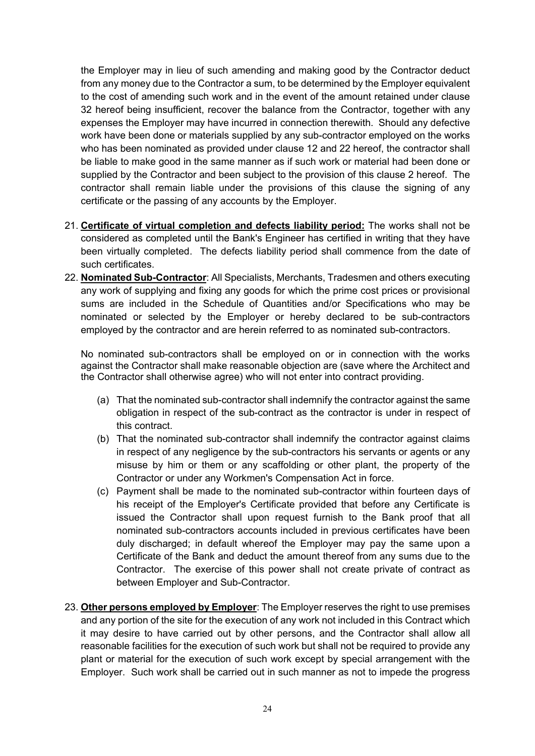the Employer may in lieu of such amending and making good by the Contractor deduct from any money due to the Contractor a sum, to be determined by the Employer equivalent to the cost of amending such work and in the event of the amount retained under clause 32 hereof being insufficient, recover the balance from the Contractor, together with any expenses the Employer may have incurred in connection therewith. Should any defective work have been done or materials supplied by any sub-contractor employed on the works who has been nominated as provided under clause 12 and 22 hereof, the contractor shall be liable to make good in the same manner as if such work or material had been done or supplied by the Contractor and been subject to the provision of this clause 2 hereof. The contractor shall remain liable under the provisions of this clause the signing of any certificate or the passing of any accounts by the Employer.

- 21. **Certificate of virtual completion and defects liability period:** The works shall not be considered as completed until the Bank's Engineer has certified in writing that they have been virtually completed. The defects liability period shall commence from the date of such certificates.
- 22. **Nominated Sub-Contractor**: All Specialists, Merchants, Tradesmen and others executing any work of supplying and fixing any goods for which the prime cost prices or provisional sums are included in the Schedule of Quantities and/or Specifications who may be nominated or selected by the Employer or hereby declared to be sub-contractors employed by the contractor and are herein referred to as nominated sub-contractors.

No nominated sub-contractors shall be employed on or in connection with the works against the Contractor shall make reasonable objection are (save where the Architect and the Contractor shall otherwise agree) who will not enter into contract providing.

- (a) That the nominated sub-contractor shall indemnify the contractor against the same obligation in respect of the sub-contract as the contractor is under in respect of this contract.
- (b) That the nominated sub-contractor shall indemnify the contractor against claims in respect of any negligence by the sub-contractors his servants or agents or any misuse by him or them or any scaffolding or other plant, the property of the Contractor or under any Workmen's Compensation Act in force.
- (c) Payment shall be made to the nominated sub-contractor within fourteen days of his receipt of the Employer's Certificate provided that before any Certificate is issued the Contractor shall upon request furnish to the Bank proof that all nominated sub-contractors accounts included in previous certificates have been duly discharged; in default whereof the Employer may pay the same upon a Certificate of the Bank and deduct the amount thereof from any sums due to the Contractor. The exercise of this power shall not create private of contract as between Employer and Sub-Contractor.
- 23. **Other persons employed by Employer**: The Employer reserves the right to use premises and any portion of the site for the execution of any work not included in this Contract which it may desire to have carried out by other persons, and the Contractor shall allow all reasonable facilities for the execution of such work but shall not be required to provide any plant or material for the execution of such work except by special arrangement with the Employer. Such work shall be carried out in such manner as not to impede the progress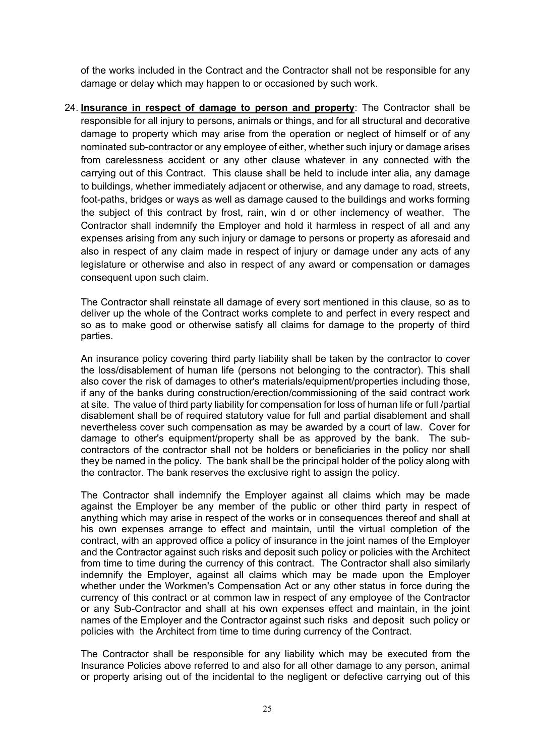of the works included in the Contract and the Contractor shall not be responsible for any damage or delay which may happen to or occasioned by such work.

24. **Insurance in respect of damage to person and property**: The Contractor shall be responsible for all injury to persons, animals or things, and for all structural and decorative damage to property which may arise from the operation or neglect of himself or of any nominated sub-contractor or any employee of either, whether such injury or damage arises from carelessness accident or any other clause whatever in any connected with the carrying out of this Contract. This clause shall be held to include inter alia, any damage to buildings, whether immediately adjacent or otherwise, and any damage to road, streets, foot-paths, bridges or ways as well as damage caused to the buildings and works forming the subject of this contract by frost, rain, win d or other inclemency of weather. The Contractor shall indemnify the Employer and hold it harmless in respect of all and any expenses arising from any such injury or damage to persons or property as aforesaid and also in respect of any claim made in respect of injury or damage under any acts of any legislature or otherwise and also in respect of any award or compensation or damages consequent upon such claim.

The Contractor shall reinstate all damage of every sort mentioned in this clause, so as to deliver up the whole of the Contract works complete to and perfect in every respect and so as to make good or otherwise satisfy all claims for damage to the property of third parties.

An insurance policy covering third party liability shall be taken by the contractor to cover the loss/disablement of human life (persons not belonging to the contractor). This shall also cover the risk of damages to other's materials/equipment/properties including those, if any of the banks during construction/erection/commissioning of the said contract work at site. The value of third party liability for compensation for loss of human life or full /partial disablement shall be of required statutory value for full and partial disablement and shall nevertheless cover such compensation as may be awarded by a court of law. Cover for damage to other's equipment/property shall be as approved by the bank. The subcontractors of the contractor shall not be holders or beneficiaries in the policy nor shall they be named in the policy. The bank shall be the principal holder of the policy along with the contractor. The bank reserves the exclusive right to assign the policy.

The Contractor shall indemnify the Employer against all claims which may be made against the Employer be any member of the public or other third party in respect of anything which may arise in respect of the works or in consequences thereof and shall at his own expenses arrange to effect and maintain, until the virtual completion of the contract, with an approved office a policy of insurance in the joint names of the Employer and the Contractor against such risks and deposit such policy or policies with the Architect from time to time during the currency of this contract. The Contractor shall also similarly indemnify the Employer, against all claims which may be made upon the Employer whether under the Workmen's Compensation Act or any other status in force during the currency of this contract or at common law in respect of any employee of the Contractor or any Sub-Contractor and shall at his own expenses effect and maintain, in the joint names of the Employer and the Contractor against such risks and deposit such policy or policies with the Architect from time to time during currency of the Contract.

The Contractor shall be responsible for any liability which may be executed from the Insurance Policies above referred to and also for all other damage to any person, animal or property arising out of the incidental to the negligent or defective carrying out of this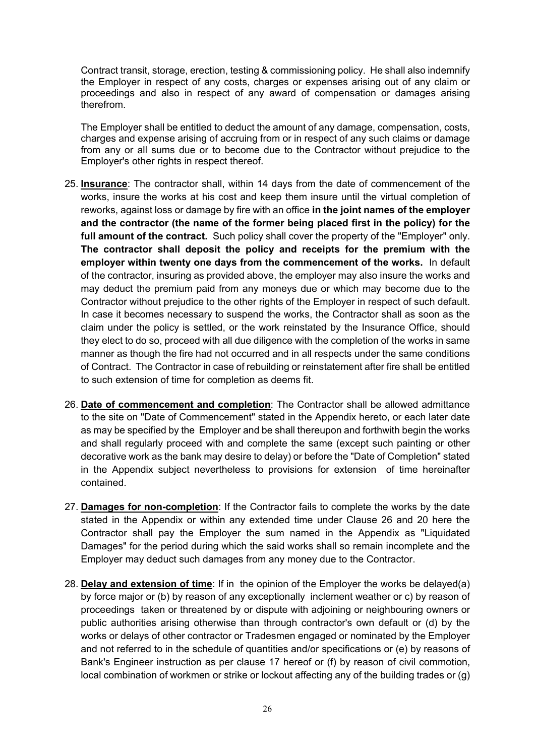Contract transit, storage, erection, testing & commissioning policy. He shall also indemnify the Employer in respect of any costs, charges or expenses arising out of any claim or proceedings and also in respect of any award of compensation or damages arising therefrom.

The Employer shall be entitled to deduct the amount of any damage, compensation, costs, charges and expense arising of accruing from or in respect of any such claims or damage from any or all sums due or to become due to the Contractor without prejudice to the Employer's other rights in respect thereof.

- 25. **Insurance**: The contractor shall, within 14 days from the date of commencement of the works, insure the works at his cost and keep them insure until the virtual completion of reworks, against loss or damage by fire with an office **in the joint names of the employer and the contractor (the name of the former being placed first in the policy) for the full amount of the contract.** Such policy shall cover the property of the "Employer" only. **The contractor shall deposit the policy and receipts for the premium with the employer within twenty one days from the commencement of the works.** In default of the contractor, insuring as provided above, the employer may also insure the works and may deduct the premium paid from any moneys due or which may become due to the Contractor without prejudice to the other rights of the Employer in respect of such default. In case it becomes necessary to suspend the works, the Contractor shall as soon as the claim under the policy is settled, or the work reinstated by the Insurance Office, should they elect to do so, proceed with all due diligence with the completion of the works in same manner as though the fire had not occurred and in all respects under the same conditions of Contract. The Contractor in case of rebuilding or reinstatement after fire shall be entitled to such extension of time for completion as deems fit.
- 26. **Date of commencement and completion**: The Contractor shall be allowed admittance to the site on "Date of Commencement" stated in the Appendix hereto, or each later date as may be specified by the Employer and be shall thereupon and forthwith begin the works and shall regularly proceed with and complete the same (except such painting or other decorative work as the bank may desire to delay) or before the "Date of Completion" stated in the Appendix subject nevertheless to provisions for extension of time hereinafter contained.
- 27. **Damages for non-completion**: If the Contractor fails to complete the works by the date stated in the Appendix or within any extended time under Clause 26 and 20 here the Contractor shall pay the Employer the sum named in the Appendix as "Liquidated Damages" for the period during which the said works shall so remain incomplete and the Employer may deduct such damages from any money due to the Contractor.
- 28. **Delay and extension of time**: If in the opinion of the Employer the works be delayed(a) by force major or (b) by reason of any exceptionally inclement weather or c) by reason of proceedings taken or threatened by or dispute with adjoining or neighbouring owners or public authorities arising otherwise than through contractor's own default or (d) by the works or delays of other contractor or Tradesmen engaged or nominated by the Employer and not referred to in the schedule of quantities and/or specifications or (e) by reasons of Bank's Engineer instruction as per clause 17 hereof or (f) by reason of civil commotion, local combination of workmen or strike or lockout affecting any of the building trades or (g)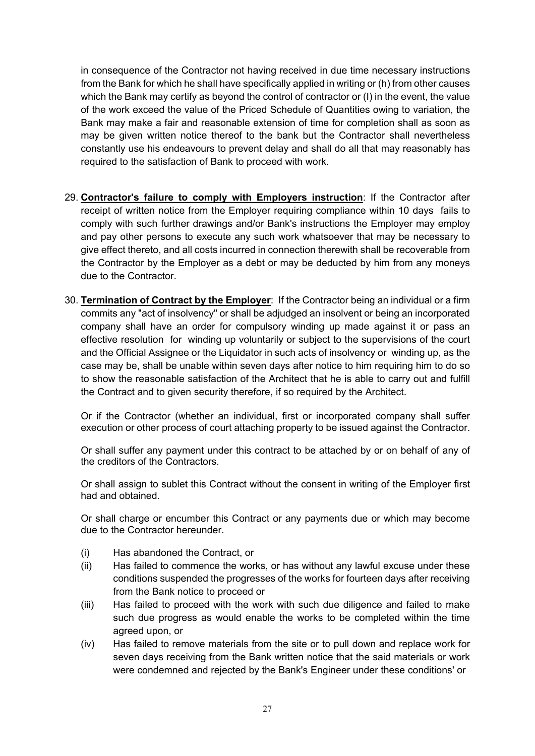in consequence of the Contractor not having received in due time necessary instructions from the Bank for which he shall have specifically applied in writing or (h) from other causes which the Bank may certify as beyond the control of contractor or (I) in the event, the value of the work exceed the value of the Priced Schedule of Quantities owing to variation, the Bank may make a fair and reasonable extension of time for completion shall as soon as may be given written notice thereof to the bank but the Contractor shall nevertheless constantly use his endeavours to prevent delay and shall do all that may reasonably has required to the satisfaction of Bank to proceed with work.

- 29. **Contractor's failure to comply with Employers instruction**: If the Contractor after receipt of written notice from the Employer requiring compliance within 10 days fails to comply with such further drawings and/or Bank's instructions the Employer may employ and pay other persons to execute any such work whatsoever that may be necessary to give effect thereto, and all costs incurred in connection therewith shall be recoverable from the Contractor by the Employer as a debt or may be deducted by him from any moneys due to the Contractor.
- 30. **Termination of Contract by the Employer**: If the Contractor being an individual or a firm commits any "act of insolvency" or shall be adjudged an insolvent or being an incorporated company shall have an order for compulsory winding up made against it or pass an effective resolution for winding up voluntarily or subject to the supervisions of the court and the Official Assignee or the Liquidator in such acts of insolvency or winding up, as the case may be, shall be unable within seven days after notice to him requiring him to do so to show the reasonable satisfaction of the Architect that he is able to carry out and fulfill the Contract and to given security therefore, if so required by the Architect.

Or if the Contractor (whether an individual, first or incorporated company shall suffer execution or other process of court attaching property to be issued against the Contractor.

Or shall suffer any payment under this contract to be attached by or on behalf of any of the creditors of the Contractors.

Or shall assign to sublet this Contract without the consent in writing of the Employer first had and obtained.

Or shall charge or encumber this Contract or any payments due or which may become due to the Contractor hereunder.

- (i) Has abandoned the Contract, or
- (ii) Has failed to commence the works, or has without any lawful excuse under these conditions suspended the progresses of the works for fourteen days after receiving from the Bank notice to proceed or
- (iii) Has failed to proceed with the work with such due diligence and failed to make such due progress as would enable the works to be completed within the time agreed upon, or
- (iv) Has failed to remove materials from the site or to pull down and replace work for seven days receiving from the Bank written notice that the said materials or work were condemned and rejected by the Bank's Engineer under these conditions' or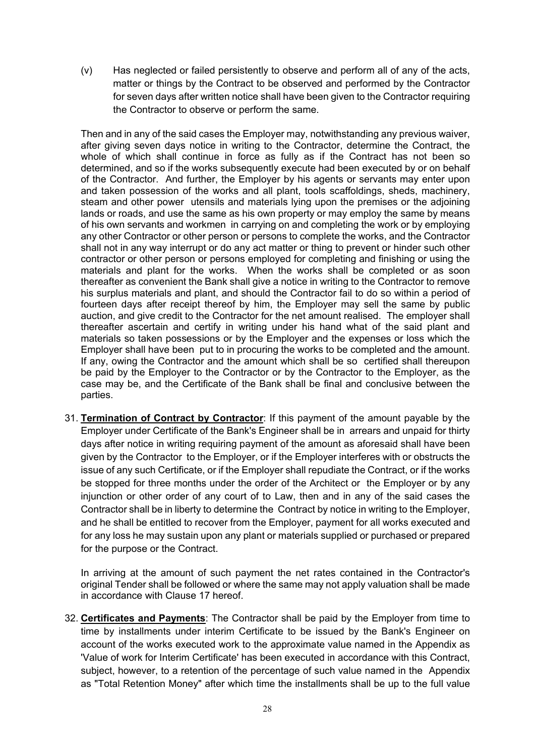(v) Has neglected or failed persistently to observe and perform all of any of the acts, matter or things by the Contract to be observed and performed by the Contractor for seven days after written notice shall have been given to the Contractor requiring the Contractor to observe or perform the same.

Then and in any of the said cases the Employer may, notwithstanding any previous waiver, after giving seven days notice in writing to the Contractor, determine the Contract, the whole of which shall continue in force as fully as if the Contract has not been so determined, and so if the works subsequently execute had been executed by or on behalf of the Contractor. And further, the Employer by his agents or servants may enter upon and taken possession of the works and all plant, tools scaffoldings, sheds, machinery, steam and other power utensils and materials lying upon the premises or the adjoining lands or roads, and use the same as his own property or may employ the same by means of his own servants and workmen in carrying on and completing the work or by employing any other Contractor or other person or persons to complete the works, and the Contractor shall not in any way interrupt or do any act matter or thing to prevent or hinder such other contractor or other person or persons employed for completing and finishing or using the materials and plant for the works. When the works shall be completed or as soon thereafter as convenient the Bank shall give a notice in writing to the Contractor to remove his surplus materials and plant, and should the Contractor fail to do so within a period of fourteen days after receipt thereof by him, the Employer may sell the same by public auction, and give credit to the Contractor for the net amount realised. The employer shall thereafter ascertain and certify in writing under his hand what of the said plant and materials so taken possessions or by the Employer and the expenses or loss which the Employer shall have been put to in procuring the works to be completed and the amount. If any, owing the Contractor and the amount which shall be so certified shall thereupon be paid by the Employer to the Contractor or by the Contractor to the Employer, as the case may be, and the Certificate of the Bank shall be final and conclusive between the parties.

31. **Termination of Contract by Contractor**: If this payment of the amount payable by the Employer under Certificate of the Bank's Engineer shall be in arrears and unpaid for thirty days after notice in writing requiring payment of the amount as aforesaid shall have been given by the Contractor to the Employer, or if the Employer interferes with or obstructs the issue of any such Certificate, or if the Employer shall repudiate the Contract, or if the works be stopped for three months under the order of the Architect or the Employer or by any injunction or other order of any court of to Law, then and in any of the said cases the Contractor shall be in liberty to determine the Contract by notice in writing to the Employer, and he shall be entitled to recover from the Employer, payment for all works executed and for any loss he may sustain upon any plant or materials supplied or purchased or prepared for the purpose or the Contract.

In arriving at the amount of such payment the net rates contained in the Contractor's original Tender shall be followed or where the same may not apply valuation shall be made in accordance with Clause 17 hereof.

32. **Certificates and Payments**: The Contractor shall be paid by the Employer from time to time by installments under interim Certificate to be issued by the Bank's Engineer on account of the works executed work to the approximate value named in the Appendix as 'Value of work for Interim Certificate' has been executed in accordance with this Contract, subject, however, to a retention of the percentage of such value named in the Appendix as "Total Retention Money" after which time the installments shall be up to the full value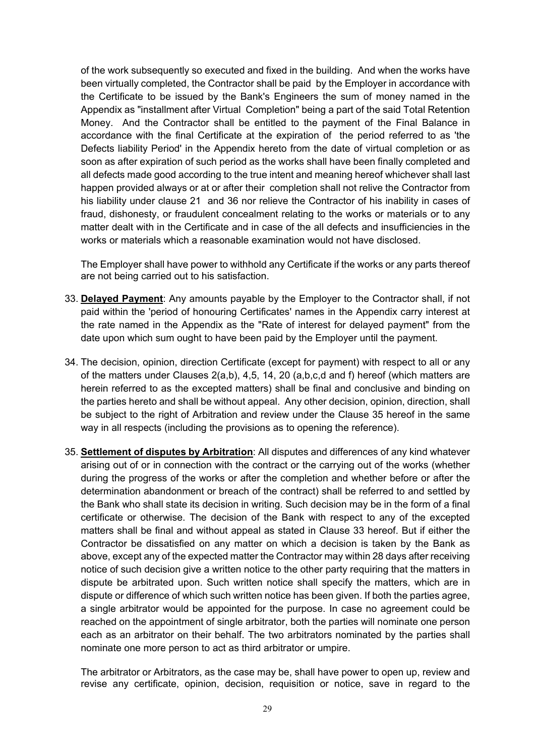of the work subsequently so executed and fixed in the building. And when the works have been virtually completed, the Contractor shall be paid by the Employer in accordance with the Certificate to be issued by the Bank's Engineers the sum of money named in the Appendix as "installment after Virtual Completion" being a part of the said Total Retention Money. And the Contractor shall be entitled to the payment of the Final Balance in accordance with the final Certificate at the expiration of the period referred to as 'the Defects liability Period' in the Appendix hereto from the date of virtual completion or as soon as after expiration of such period as the works shall have been finally completed and all defects made good according to the true intent and meaning hereof whichever shall last happen provided always or at or after their completion shall not relive the Contractor from his liability under clause 21 and 36 nor relieve the Contractor of his inability in cases of fraud, dishonesty, or fraudulent concealment relating to the works or materials or to any matter dealt with in the Certificate and in case of the all defects and insufficiencies in the works or materials which a reasonable examination would not have disclosed.

The Employer shall have power to withhold any Certificate if the works or any parts thereof are not being carried out to his satisfaction.

- 33. **Delayed Payment**: Any amounts payable by the Employer to the Contractor shall, if not paid within the 'period of honouring Certificates' names in the Appendix carry interest at the rate named in the Appendix as the "Rate of interest for delayed payment" from the date upon which sum ought to have been paid by the Employer until the payment.
- 34. The decision, opinion, direction Certificate (except for payment) with respect to all or any of the matters under Clauses  $2(a,b)$ ,  $4,5$ ,  $14$ ,  $20$   $(a,b,c,d)$  and f) hereof (which matters are herein referred to as the excepted matters) shall be final and conclusive and binding on the parties hereto and shall be without appeal. Any other decision, opinion, direction, shall be subject to the right of Arbitration and review under the Clause 35 hereof in the same way in all respects (including the provisions as to opening the reference).
- 35. **Settlement of disputes by Arbitration**: All disputes and differences of any kind whatever arising out of or in connection with the contract or the carrying out of the works (whether during the progress of the works or after the completion and whether before or after the determination abandonment or breach of the contract) shall be referred to and settled by the Bank who shall state its decision in writing. Such decision may be in the form of a final certificate or otherwise. The decision of the Bank with respect to any of the excepted matters shall be final and without appeal as stated in Clause 33 hereof. But if either the Contractor be dissatisfied on any matter on which a decision is taken by the Bank as above, except any of the expected matter the Contractor may within 28 days after receiving notice of such decision give a written notice to the other party requiring that the matters in dispute be arbitrated upon. Such written notice shall specify the matters, which are in dispute or difference of which such written notice has been given. If both the parties agree, a single arbitrator would be appointed for the purpose. In case no agreement could be reached on the appointment of single arbitrator, both the parties will nominate one person each as an arbitrator on their behalf. The two arbitrators nominated by the parties shall nominate one more person to act as third arbitrator or umpire.

The arbitrator or Arbitrators, as the case may be, shall have power to open up, review and revise any certificate, opinion, decision, requisition or notice, save in regard to the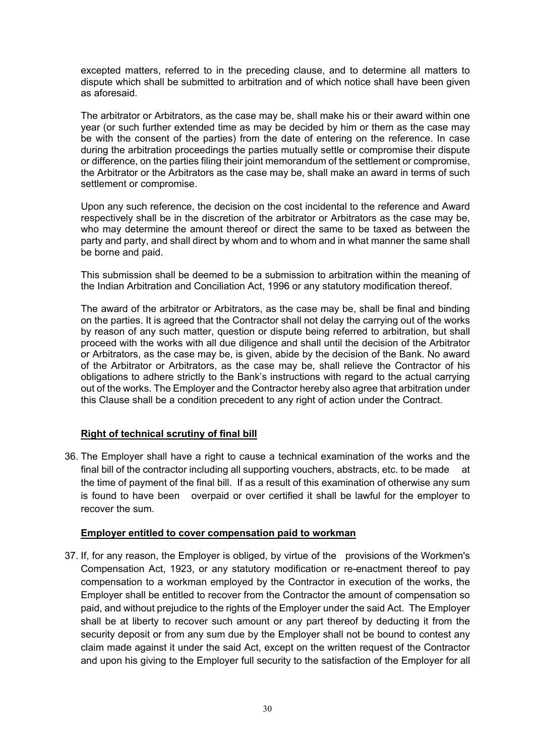excepted matters, referred to in the preceding clause, and to determine all matters to dispute which shall be submitted to arbitration and of which notice shall have been given as aforesaid.

The arbitrator or Arbitrators, as the case may be, shall make his or their award within one year (or such further extended time as may be decided by him or them as the case may be with the consent of the parties) from the date of entering on the reference. In case during the arbitration proceedings the parties mutually settle or compromise their dispute or difference, on the parties filing their joint memorandum of the settlement or compromise, the Arbitrator or the Arbitrators as the case may be, shall make an award in terms of such settlement or compromise.

Upon any such reference, the decision on the cost incidental to the reference and Award respectively shall be in the discretion of the arbitrator or Arbitrators as the case may be, who may determine the amount thereof or direct the same to be taxed as between the party and party, and shall direct by whom and to whom and in what manner the same shall be borne and paid.

This submission shall be deemed to be a submission to arbitration within the meaning of the Indian Arbitration and Conciliation Act, 1996 or any statutory modification thereof.

The award of the arbitrator or Arbitrators, as the case may be, shall be final and binding on the parties. It is agreed that the Contractor shall not delay the carrying out of the works by reason of any such matter, question or dispute being referred to arbitration, but shall proceed with the works with all due diligence and shall until the decision of the Arbitrator or Arbitrators, as the case may be, is given, abide by the decision of the Bank. No award of the Arbitrator or Arbitrators, as the case may be, shall relieve the Contractor of his obligations to adhere strictly to the Bank's instructions with regard to the actual carrying out of the works. The Employer and the Contractor hereby also agree that arbitration under this Clause shall be a condition precedent to any right of action under the Contract.

## **Right of technical scrutiny of final bill**

36. The Employer shall have a right to cause a technical examination of the works and the final bill of the contractor including all supporting vouchers, abstracts, etc. to be made at the time of payment of the final bill. If as a result of this examination of otherwise any sum is found to have been overpaid or over certified it shall be lawful for the employer to recover the sum.

#### **Employer entitled to cover compensation paid to workman**

37. If, for any reason, the Employer is obliged, by virtue of the provisions of the Workmen's Compensation Act, 1923, or any statutory modification or re-enactment thereof to pay compensation to a workman employed by the Contractor in execution of the works, the Employer shall be entitled to recover from the Contractor the amount of compensation so paid, and without prejudice to the rights of the Employer under the said Act. The Employer shall be at liberty to recover such amount or any part thereof by deducting it from the security deposit or from any sum due by the Employer shall not be bound to contest any claim made against it under the said Act, except on the written request of the Contractor and upon his giving to the Employer full security to the satisfaction of the Employer for all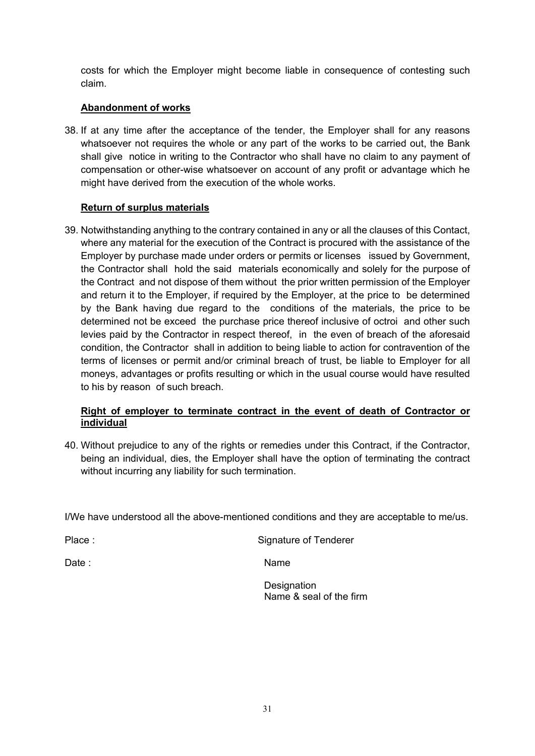costs for which the Employer might become liable in consequence of contesting such claim.

## **Abandonment of works**

38. If at any time after the acceptance of the tender, the Employer shall for any reasons whatsoever not requires the whole or any part of the works to be carried out, the Bank shall give notice in writing to the Contractor who shall have no claim to any payment of compensation or other-wise whatsoever on account of any profit or advantage which he might have derived from the execution of the whole works.

## **Return of surplus materials**

39. Notwithstanding anything to the contrary contained in any or all the clauses of this Contact, where any material for the execution of the Contract is procured with the assistance of the Employer by purchase made under orders or permits or licenses issued by Government, the Contractor shall hold the said materials economically and solely for the purpose of the Contract and not dispose of them without the prior written permission of the Employer and return it to the Employer, if required by the Employer, at the price to be determined by the Bank having due regard to the conditions of the materials, the price to be determined not be exceed the purchase price thereof inclusive of octroi and other such levies paid by the Contractor in respect thereof, in the even of breach of the aforesaid condition, the Contractor shall in addition to being liable to action for contravention of the terms of licenses or permit and/or criminal breach of trust, be liable to Employer for all moneys, advantages or profits resulting or which in the usual course would have resulted to his by reason of such breach.

## **Right of employer to terminate contract in the event of death of Contractor or individual**

40. Without prejudice to any of the rights or remedies under this Contract, if the Contractor, being an individual, dies, the Employer shall have the option of terminating the contract without incurring any liability for such termination.

I/We have understood all the above-mentioned conditions and they are acceptable to me/us.

| Place : | Signature of Tenderer |
|---------|-----------------------|
| Date :  | Name                  |

**Designation** Name & seal of the firm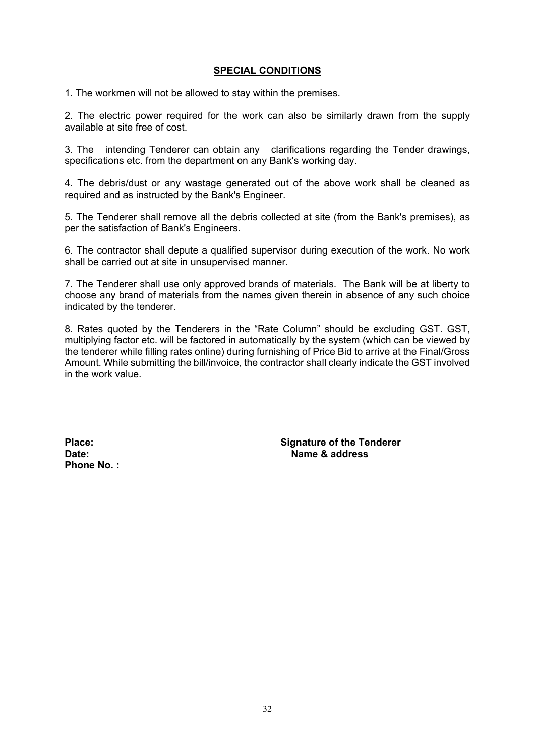#### **SPECIAL CONDITIONS**

1. The workmen will not be allowed to stay within the premises.

2. The electric power required for the work can also be similarly drawn from the supply available at site free of cost.

3. The intending Tenderer can obtain any clarifications regarding the Tender drawings, specifications etc. from the department on any Bank's working day.

4. The debris/dust or any wastage generated out of the above work shall be cleaned as required and as instructed by the Bank's Engineer.

5. The Tenderer shall remove all the debris collected at site (from the Bank's premises), as per the satisfaction of Bank's Engineers.

6. The contractor shall depute a qualified supervisor during execution of the work. No work shall be carried out at site in unsupervised manner.

7. The Tenderer shall use only approved brands of materials. The Bank will be at liberty to choose any brand of materials from the names given therein in absence of any such choice indicated by the tenderer.

8. Rates quoted by the Tenderers in the "Rate Column" should be excluding GST. GST, multiplying factor etc. will be factored in automatically by the system (which can be viewed by the tenderer while filling rates online) during furnishing of Price Bid to arrive at the Final/Gross Amount. While submitting the bill/invoice, the contractor shall clearly indicate the GST involved in the work value.

**Phone No. :**

Place: Place: **Signature of the Tenderer**<br>Date: **Signature of the Tenderer Name & address**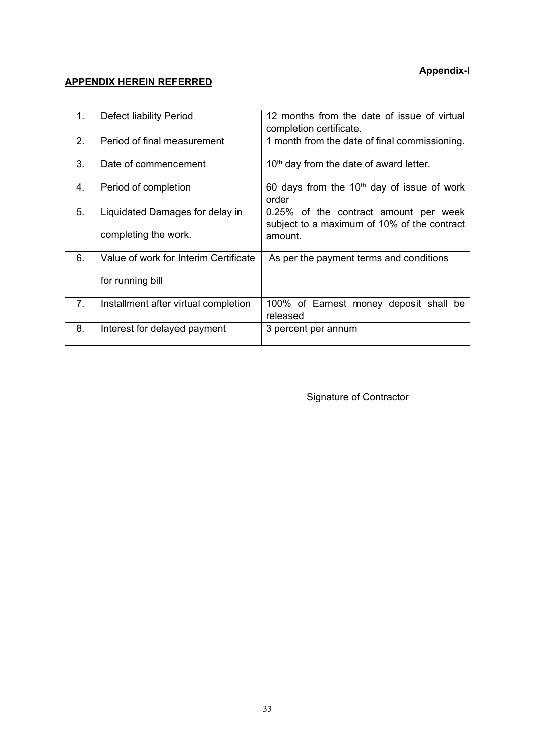## **Appendix-I**

## **APPENDIX HEREIN REFERRED**

| 1. | <b>Defect liability Period</b>                            | 12 months from the date of issue of virtual<br>completion certificate.                          |
|----|-----------------------------------------------------------|-------------------------------------------------------------------------------------------------|
| 2. | Period of final measurement                               | 1 month from the date of final commissioning.                                                   |
| 3. | Date of commencement                                      | 10 <sup>th</sup> day from the date of award letter.                                             |
| 4. | Period of completion                                      | 60 days from the $10th$ day of issue of work<br>order                                           |
| 5. | Liquidated Damages for delay in<br>completing the work.   | 0.25% of the contract amount per week<br>subject to a maximum of 10% of the contract<br>amount. |
| 6. | Value of work for Interim Certificate<br>for running bill | As per the payment terms and conditions                                                         |
| 7. | Installment after virtual completion                      | 100% of Earnest money deposit shall be<br>released                                              |
| 8. | Interest for delayed payment                              | 3 percent per annum                                                                             |

Signature of Contractor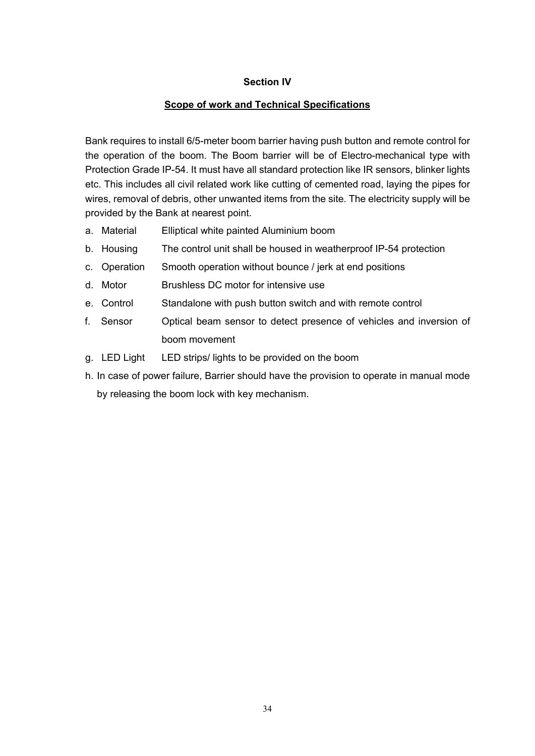## **Section IV**

## **Scope of work and Technical Specifications**

Bank requires to install 6/5-meter boom barrier having push button and remote control for the operation of the boom. The Boom barrier will be of Electro-mechanical type with Protection Grade IP-54. It must have all standard protection like IR sensors, blinker lights etc. This includes all civil related work like cutting of cemented road, laying the pipes for wires, removal of debris, other unwanted items from the site. The electricity supply will be provided by the Bank at nearest point.

- a. Material Elliptical white painted Aluminium boom
- b. Housing The control unit shall be housed in weatherproof IP-54 protection
- c. Operation Smooth operation without bounce / jerk at end positions
- d. Motor Brushless DC motor for intensive use
- e. Control Standalone with push button switch and with remote control
- f. Sensor Optical beam sensor to detect presence of vehicles and inversion of boom movement
- g. LED Light LED strips/ lights to be provided on the boom
- h. In case of power failure, Barrier should have the provision to operate in manual mode by releasing the boom lock with key mechanism.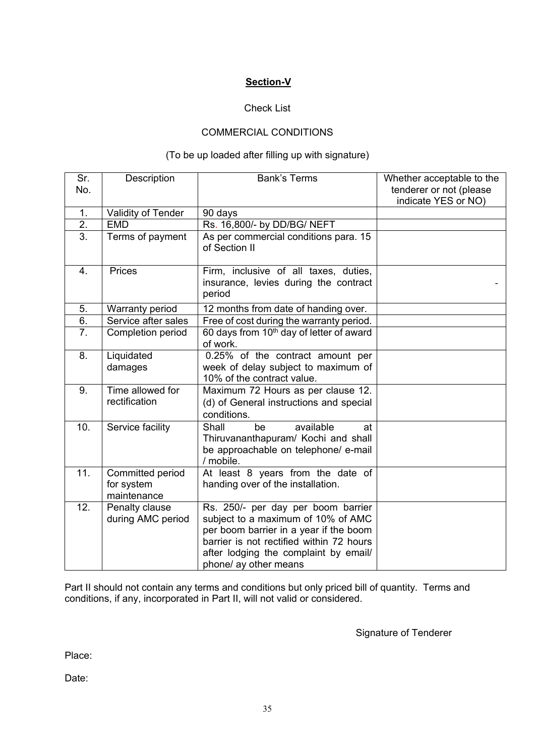## **Section-V**

## Check List

#### COMMERCIAL CONDITIONS

## (To be up loaded after filling up with signature)

| Sr.<br>No.       | Description                                   | <b>Bank's Terms</b>                                                                                                                                                                                                              | Whether acceptable to the<br>tenderer or not (please<br>indicate YES or NO) |
|------------------|-----------------------------------------------|----------------------------------------------------------------------------------------------------------------------------------------------------------------------------------------------------------------------------------|-----------------------------------------------------------------------------|
| 1.               | Validity of Tender                            | 90 days                                                                                                                                                                                                                          |                                                                             |
| $\overline{2}$ . | <b>EMD</b>                                    | Rs. 16,800/- by DD/BG/ NEFT                                                                                                                                                                                                      |                                                                             |
| $\overline{3}$ . | Terms of payment                              | As per commercial conditions para. 15<br>of Section II                                                                                                                                                                           |                                                                             |
| $\overline{4}$ . | Prices                                        | Firm, inclusive of all taxes, duties,<br>insurance, levies during the contract<br>period                                                                                                                                         |                                                                             |
| 5.               | <b>Warranty period</b>                        | 12 months from date of handing over.                                                                                                                                                                                             |                                                                             |
| 6.               | Service after sales                           | Free of cost during the warranty period.                                                                                                                                                                                         |                                                                             |
| 7 <sub>1</sub>   | Completion period                             | 60 days from 10 <sup>th</sup> day of letter of award<br>of work.                                                                                                                                                                 |                                                                             |
| 8.               | Liquidated<br>damages                         | 0.25% of the contract amount per<br>week of delay subject to maximum of<br>10% of the contract value.                                                                                                                            |                                                                             |
| 9.               | Time allowed for<br>rectification             | Maximum 72 Hours as per clause 12.<br>(d) of General instructions and special<br>conditions.                                                                                                                                     |                                                                             |
| 10.              | Service facility                              | available<br>Shall<br>be<br>at<br>Thiruvananthapuram/ Kochi and shall<br>be approachable on telephone/ e-mail<br>/ mobile.                                                                                                       |                                                                             |
| 11.              | Committed period<br>for system<br>maintenance | At least 8 years from the date of<br>handing over of the installation.                                                                                                                                                           |                                                                             |
| 12.              | Penalty clause<br>during AMC period           | Rs. 250/- per day per boom barrier<br>subject to a maximum of 10% of AMC<br>per boom barrier in a year if the boom<br>barrier is not rectified within 72 hours<br>after lodging the complaint by email/<br>phone/ ay other means |                                                                             |

Part II should not contain any terms and conditions but only priced bill of quantity. Terms and conditions, if any, incorporated in Part II, will not valid or considered.

Signature of Tenderer

Place:

Date: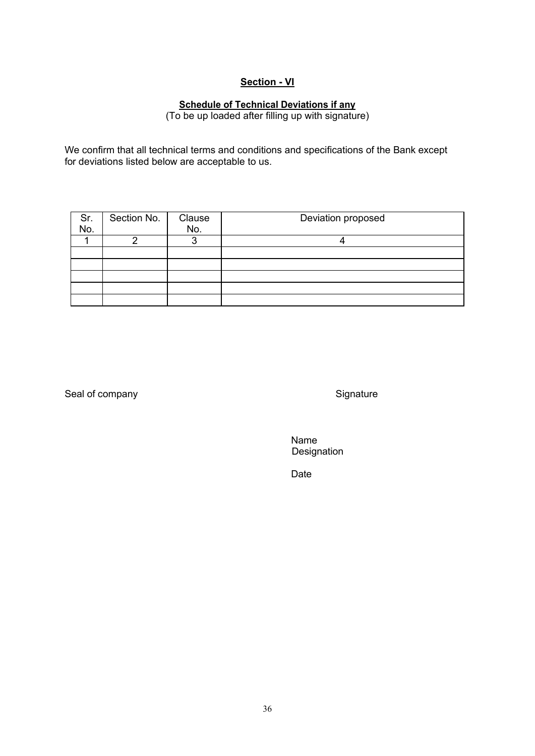## **Section - VI**

## **Schedule of Technical Deviations if any**

(To be up loaded after filling up with signature)

We confirm that all technical terms and conditions and specifications of the Bank except for deviations listed below are acceptable to us.

| Sr.<br>No. | Section No. | Clause | Deviation proposed |
|------------|-------------|--------|--------------------|
|            |             | No.    |                    |
|            |             |        |                    |
|            |             |        |                    |
|            |             |        |                    |
|            |             |        |                    |
|            |             |        |                    |
|            |             |        |                    |

Seal of company Signature Signature

Name Designation

Date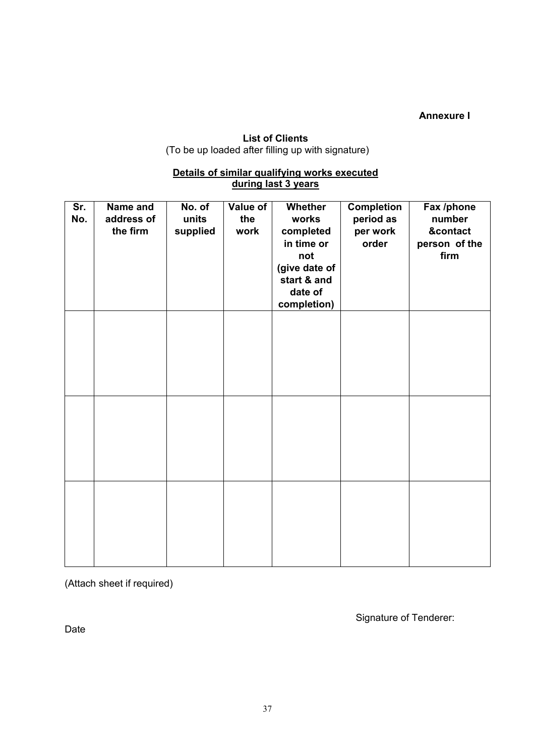**Annexure I**

## **List of Clients**  (To be up loaded after filling up with signature)

#### **Details of similar qualifying works executed during last 3 years**

<span id="page-38-0"></span>

| Sr.<br>No. | Name and<br>address of<br>the firm | No. of<br>units<br>supplied | Value of<br>the<br>work | Whether<br>works<br>completed<br>in time or<br>not<br>(give date of<br>start & and<br>date of<br>completion) | Completion<br>period as<br>per work<br>order | Fax /phone<br>number<br>&contact<br>person of the<br>firm |
|------------|------------------------------------|-----------------------------|-------------------------|--------------------------------------------------------------------------------------------------------------|----------------------------------------------|-----------------------------------------------------------|
|            |                                    |                             |                         |                                                                                                              |                                              |                                                           |
|            |                                    |                             |                         |                                                                                                              |                                              |                                                           |
|            |                                    |                             |                         |                                                                                                              |                                              |                                                           |

(Attach sheet if required)

Date

Signature of Tenderer: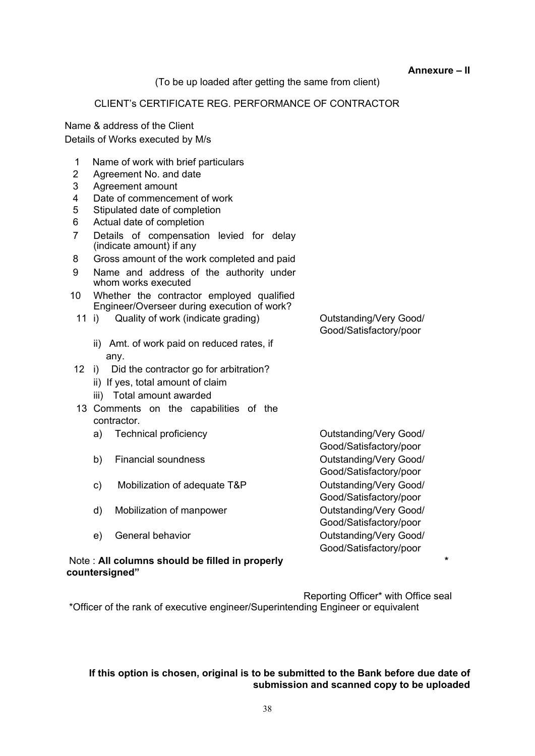**Annexure – II**

(To be up loaded after getting the same from client)

## CLIENT's CERTIFICATE REG. PERFORMANCE OF CONTRACTOR

Name & address of the Client Details of Works executed by M/s

- 1 Name of work with brief particulars
- 2 Agreement No. and date
- 3 Agreement amount
- 4 Date of commencement of work
- 5 Stipulated date of completion
- 6 Actual date of completion
- 7 Details of compensation levied for delay (indicate amount) if any
- 8 Gross amount of the work completed and paid
- 9 Name and address of the authority under whom works executed
- 10 Whether the contractor employed qualified Engineer/Overseer during execution of work?
	- 11 i) Quality of work (indicate grading) Cutstanding/Very Good/
		- ii) Amt. of work paid on reduced rates, if any.
- 12 i) Did the contractor go for arbitration?
	- ii) If yes, total amount of claim
	- iii) Total amount awarded
- 13 Comments on the capabilities of the contractor.
	- a) Technical proficiency **Constructs** Outstanding/Very Good/
	- b) Financial soundness **Outstanding/Very Good/**
	- c) Mobilization of adequate T&P Outstanding/Very Good/
	- d) Mobilization of manpower Cutstanding/Very Good/
	-

#### Note : **All columns should be filled in properly \* countersigned"**

Good/Satisfactory/poor

Good/Satisfactory/poor Good/Satisfactory/poor Good/Satisfactory/poor Good/Satisfactory/poor e) General behavior Christian Cutstanding/Very Good/ Good/Satisfactory/poor

Reporting Officer\* with Office seal \*Officer of the rank of executive engineer/Superintending Engineer or equivalent

#### **If this option is chosen, original is to be submitted to the Bank before due date of submission and scanned copy to be uploaded**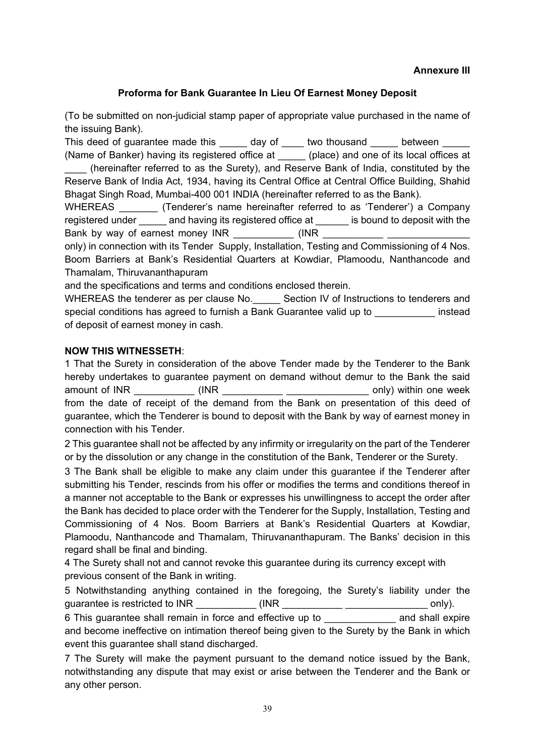#### **Annexure III**

## <span id="page-40-0"></span>**Proforma for Bank Guarantee In Lieu Of Earnest Money Deposit**

<span id="page-40-1"></span>(To be submitted on non-judicial stamp paper of appropriate value purchased in the name of the issuing Bank).

This deed of guarantee made this day of two thousand between (Name of Banker) having its registered office at (place) and one of its local offices at

\_\_\_\_ (hereinafter referred to as the Surety), and Reserve Bank of India, constituted by the Reserve Bank of India Act, 1934, having its Central Office at Central Office Building, Shahid Bhagat Singh Road, Mumbai-400 001 INDIA (hereinafter referred to as the Bank).

WHEREAS (Tenderer's name hereinafter referred to as 'Tenderer') a Company registered under and having its registered office at is bound to deposit with the Bank by way of earnest money INR  $\qquad \qquad$  (INR

only) in connection with its Tender Supply, Installation, Testing and Commissioning of 4 Nos. Boom Barriers at Bank's Residential Quarters at Kowdiar, Plamoodu, Nanthancode and Thamalam, Thiruvananthapuram

and the specifications and terms and conditions enclosed therein.

WHEREAS the tenderer as per clause No. Section IV of Instructions to tenderers and special conditions has agreed to furnish a Bank Guarantee valid up to **Example 2** instead of deposit of earnest money in cash.

## **NOW THIS WITNESSETH**:

1 That the Surety in consideration of the above Tender made by the Tenderer to the Bank hereby undertakes to guarantee payment on demand without demur to the Bank the said amount of INR  $\blacksquare$  (INR  $\blacksquare$ ) within one week from the date of receipt of the demand from the Bank on presentation of this deed of guarantee, which the Tenderer is bound to deposit with the Bank by way of earnest money in connection with his Tender.

2 This guarantee shall not be affected by any infirmity or irregularity on the part of the Tenderer or by the dissolution or any change in the constitution of the Bank, Tenderer or the Surety.

3 The Bank shall be eligible to make any claim under this guarantee if the Tenderer after submitting his Tender, rescinds from his offer or modifies the terms and conditions thereof in a manner not acceptable to the Bank or expresses his unwillingness to accept the order after the Bank has decided to place order with the Tenderer for the Supply, Installation, Testing and Commissioning of 4 Nos. Boom Barriers at Bank's Residential Quarters at Kowdiar, Plamoodu, Nanthancode and Thamalam, Thiruvananthapuram. The Banks' decision in this regard shall be final and binding.

4 The Surety shall not and cannot revoke this guarantee during its currency except with previous consent of the Bank in writing.

5 Notwithstanding anything contained in the foregoing, the Surety's liability under the guarantee is restricted to INR \_\_\_\_\_\_\_\_\_\_\_\_ (INR \_\_\_\_\_\_\_\_\_\_\_\_\_\_\_\_\_\_\_\_\_\_\_\_\_\_\_\_\_\_\_\_ only).

6 This guarantee shall remain in force and effective up to **and shall expire** and become ineffective on intimation thereof being given to the Surety by the Bank in which event this guarantee shall stand discharged.

7 The Surety will make the payment pursuant to the demand notice issued by the Bank, notwithstanding any dispute that may exist or arise between the Tenderer and the Bank or any other person.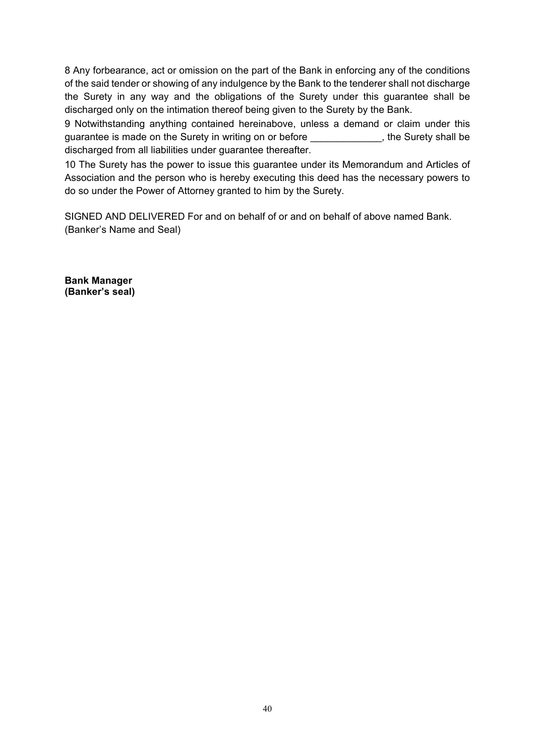8 Any forbearance, act or omission on the part of the Bank in enforcing any of the conditions of the said tender or showing of any indulgence by the Bank to the tenderer shall not discharge the Surety in any way and the obligations of the Surety under this guarantee shall be discharged only on the intimation thereof being given to the Surety by the Bank.

9 Notwithstanding anything contained hereinabove, unless a demand or claim under this guarantee is made on the Surety in writing on or before The Music states with the Surety shall be discharged from all liabilities under guarantee thereafter.

10 The Surety has the power to issue this guarantee under its Memorandum and Articles of Association and the person who is hereby executing this deed has the necessary powers to do so under the Power of Attorney granted to him by the Surety.

SIGNED AND DELIVERED For and on behalf of or and on behalf of above named Bank. (Banker's Name and Seal)

**Bank Manager (Banker's seal)**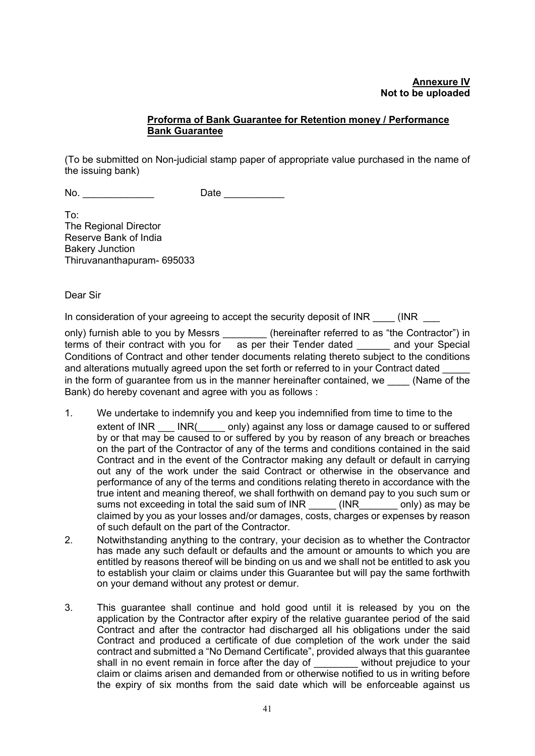#### **Proforma of Bank Guarantee for Retention money / Performance Bank Guarantee**

<span id="page-42-0"></span>(To be submitted on Non-judicial stamp paper of appropriate value purchased in the name of the issuing bank)

No. Zate Date Date

To: The Regional Director Reserve Bank of India Bakery Junction Thiruvananthapuram- 695033

Dear Sir

In consideration of your agreeing to accept the security deposit of INR  $\qquad$  (INR

only) furnish able to you by Messrs \_\_\_\_\_\_\_\_\_ (hereinafter referred to as "the Contractor") in terms of their contract with you for  $\overline{a}$  as per their Tender dated  $\overline{a}$  and your Special Conditions of Contract and other tender documents relating thereto subject to the conditions and alterations mutually agreed upon the set forth or referred to in your Contract dated in the form of quarantee from us in the manner hereinafter contained, we  $\qquad$  (Name of the Bank) do hereby covenant and agree with you as follows :

- 1. We undertake to indemnify you and keep you indemnified from time to time to the extent of INR \_\_\_ INR(\_\_\_\_\_ only) against any loss or damage caused to or suffered by or that may be caused to or suffered by you by reason of any breach or breaches on the part of the Contractor of any of the terms and conditions contained in the said Contract and in the event of the Contractor making any default or default in carrying out any of the work under the said Contract or otherwise in the observance and performance of any of the terms and conditions relating thereto in accordance with the true intent and meaning thereof, we shall forthwith on demand pay to you such sum or sums not exceeding in total the said sum of INR (INR only) as may be claimed by you as your losses and/or damages, costs, charges or expenses by reason of such default on the part of the Contractor.
- 2. Notwithstanding anything to the contrary, your decision as to whether the Contractor has made any such default or defaults and the amount or amounts to which you are entitled by reasons thereof will be binding on us and we shall not be entitled to ask you to establish your claim or claims under this Guarantee but will pay the same forthwith on your demand without any protest or demur.
- 3. This guarantee shall continue and hold good until it is released by you on the application by the Contractor after expiry of the relative guarantee period of the said Contract and after the contractor had discharged all his obligations under the said Contract and produced a certificate of due completion of the work under the said contract and submitted a "No Demand Certificate", provided always that this guarantee shall in no event remain in force after the day of without prejudice to your claim or claims arisen and demanded from or otherwise notified to us in writing before the expiry of six months from the said date which will be enforceable against us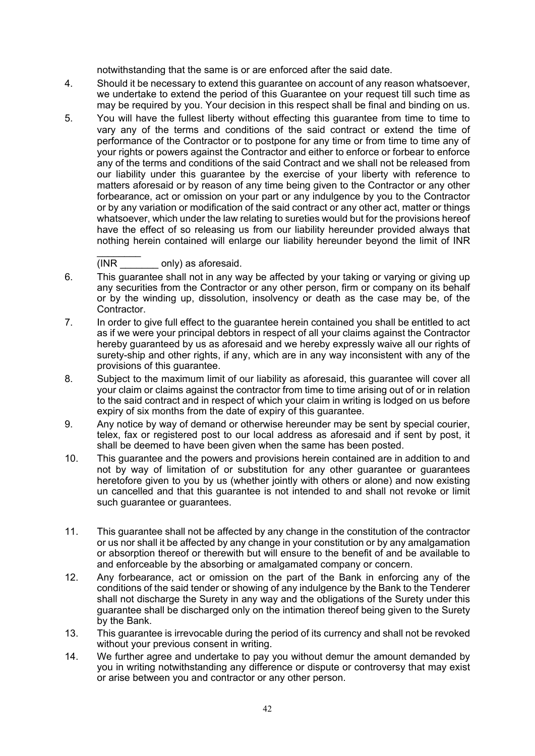notwithstanding that the same is or are enforced after the said date.

- 4. Should it be necessary to extend this guarantee on account of any reason whatsoever, we undertake to extend the period of this Guarantee on your request till such time as may be required by you. Your decision in this respect shall be final and binding on us.
- 5. You will have the fullest liberty without effecting this guarantee from time to time to vary any of the terms and conditions of the said contract or extend the time of performance of the Contractor or to postpone for any time or from time to time any of your rights or powers against the Contractor and either to enforce or forbear to enforce any of the terms and conditions of the said Contract and we shall not be released from our liability under this guarantee by the exercise of your liberty with reference to matters aforesaid or by reason of any time being given to the Contractor or any other forbearance, act or omission on your part or any indulgence by you to the Contractor or by any variation or modification of the said contract or any other act, matter or things whatsoever, which under the law relating to sureties would but for the provisions hereof have the effect of so releasing us from our liability hereunder provided always that nothing herein contained will enlarge our liability hereunder beyond the limit of INR

 $\frac{1}{2}$ (INR \_\_\_\_\_\_\_ only) as aforesaid.

- 6. This guarantee shall not in any way be affected by your taking or varying or giving up any securities from the Contractor or any other person, firm or company on its behalf or by the winding up, dissolution, insolvency or death as the case may be, of the Contractor.
- 7. In order to give full effect to the guarantee herein contained you shall be entitled to act as if we were your principal debtors in respect of all your claims against the Contractor hereby guaranteed by us as aforesaid and we hereby expressly waive all our rights of surety-ship and other rights, if any, which are in any way inconsistent with any of the provisions of this guarantee.
- 8. Subject to the maximum limit of our liability as aforesaid, this guarantee will cover all your claim or claims against the contractor from time to time arising out of or in relation to the said contract and in respect of which your claim in writing is lodged on us before expiry of six months from the date of expiry of this guarantee.
- 9. Any notice by way of demand or otherwise hereunder may be sent by special courier, telex, fax or registered post to our local address as aforesaid and if sent by post, it shall be deemed to have been given when the same has been posted.
- 10. This guarantee and the powers and provisions herein contained are in addition to and not by way of limitation of or substitution for any other guarantee or guarantees heretofore given to you by us (whether jointly with others or alone) and now existing un cancelled and that this guarantee is not intended to and shall not revoke or limit such guarantee or guarantees.
- 11. This guarantee shall not be affected by any change in the constitution of the contractor or us nor shall it be affected by any change in your constitution or by any amalgamation or absorption thereof or therewith but will ensure to the benefit of and be available to and enforceable by the absorbing or amalgamated company or concern.
- 12. Any forbearance, act or omission on the part of the Bank in enforcing any of the conditions of the said tender or showing of any indulgence by the Bank to the Tenderer shall not discharge the Surety in any way and the obligations of the Surety under this guarantee shall be discharged only on the intimation thereof being given to the Surety by the Bank.
- 13. This guarantee is irrevocable during the period of its currency and shall not be revoked without your previous consent in writing.
- 14. We further agree and undertake to pay you without demur the amount demanded by you in writing notwithstanding any difference or dispute or controversy that may exist or arise between you and contractor or any other person.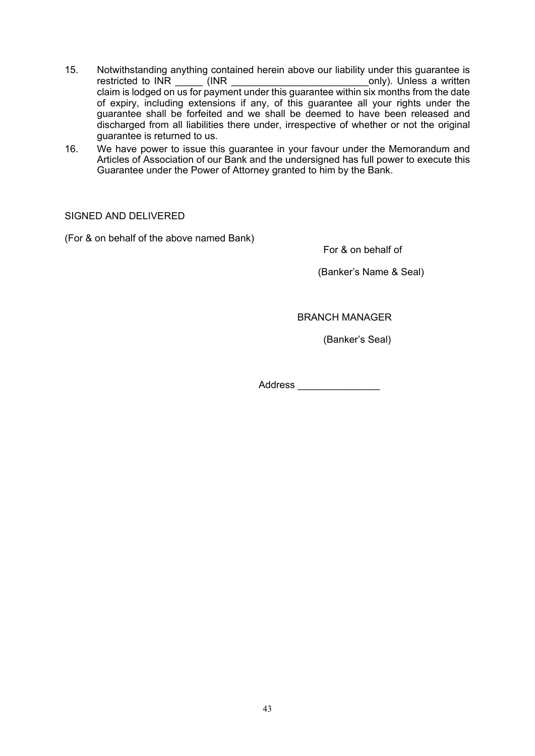- 15. Notwithstanding anything contained herein above our liability under this guarantee is restricted to INR (INR restricted to INR \_\_\_\_\_ (INR \_\_\_\_\_\_\_\_\_\_\_\_\_\_\_\_\_\_\_\_\_\_\_\_\_only). Unless a written claim is lodged on us for payment under this guarantee within six months from the date of expiry, including extensions if any, of this guarantee all your rights under the guarantee shall be forfeited and we shall be deemed to have been released and discharged from all liabilities there under, irrespective of whether or not the original guarantee is returned to us.
- 16. We have power to issue this guarantee in your favour under the Memorandum and Articles of Association of our Bank and the undersigned has full power to execute this Guarantee under the Power of Attorney granted to him by the Bank.

SIGNED AND DELIVERED

(For & on behalf of the above named Bank)

For & on behalf of

(Banker's Name & Seal)

BRANCH MANAGER

(Banker's Seal)

Address \_\_\_\_\_\_\_\_\_\_\_\_\_\_\_\_\_\_\_\_\_\_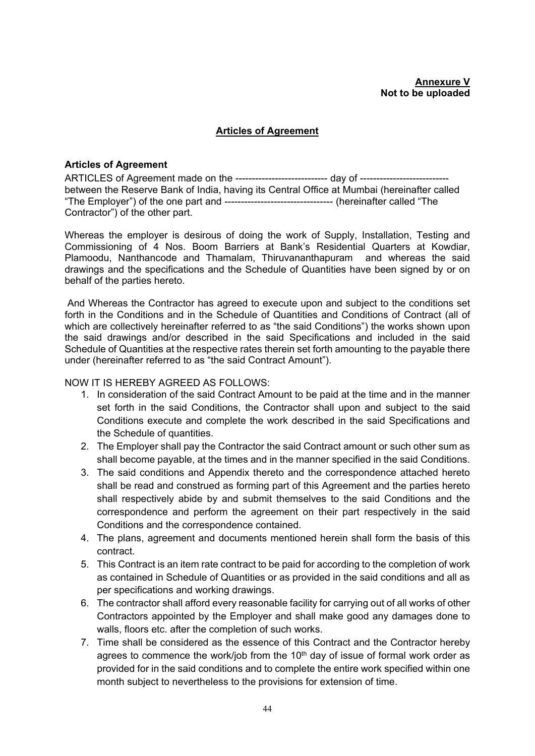#### **Articles of Agreement**

#### <span id="page-45-0"></span>**Articles of Agreement**

ARTICLES of Agreement made on the ---------------------------- day of -------------------------- between the Reserve Bank of India, having its Central Office at Mumbai (hereinafter called "The Employer") of the one part and --------------------------------- (hereinafter called "The Contractor") of the other part.

Whereas the employer is desirous of doing the work of Supply, Installation, Testing and Commissioning of 4 Nos. Boom Barriers at Bank's Residential Quarters at Kowdiar, Plamoodu, Nanthancode and Thamalam, Thiruvananthapuram and whereas the said drawings and the specifications and the Schedule of Quantities have been signed by or on behalf of the parties hereto.

And Whereas the Contractor has agreed to execute upon and subject to the conditions set forth in the Conditions and in the Schedule of Quantities and Conditions of Contract (all of which are collectively hereinafter referred to as "the said Conditions") the works shown upon the said drawings and/or described in the said Specifications and included in the said Schedule of Quantities at the respective rates therein set forth amounting to the payable there under (hereinafter referred to as "the said Contract Amount").

#### NOW IT IS HEREBY AGREED AS FOLLOWS:

- 1. In consideration of the said Contract Amount to be paid at the time and in the manner set forth in the said Conditions, the Contractor shall upon and subject to the said Conditions execute and complete the work described in the said Specifications and the Schedule of quantities.
- 2. The Employer shall pay the Contractor the said Contract amount or such other sum as shall become payable, at the times and in the manner specified in the said Conditions.
- 3. The said conditions and Appendix thereto and the correspondence attached hereto shall be read and construed as forming part of this Agreement and the parties hereto shall respectively abide by and submit themselves to the said Conditions and the correspondence and perform the agreement on their part respectively in the said Conditions and the correspondence contained.
- 4. The plans, agreement and documents mentioned herein shall form the basis of this contract.
- 5. This Contract is an item rate contract to be paid for according to the completion of work as contained in Schedule of Quantities or as provided in the said conditions and all as per specifications and working drawings.
- 6. The contractor shall afford every reasonable facility for carrying out of all works of other Contractors appointed by the Employer and shall make good any damages done to walls, floors etc. after the completion of such works.
- 7. Time shall be considered as the essence of this Contract and the Contractor hereby agrees to commence the work/job from the  $10<sup>th</sup>$  day of issue of formal work order as provided for in the said conditions and to complete the entire work specified within one month subject to nevertheless to the provisions for extension of time.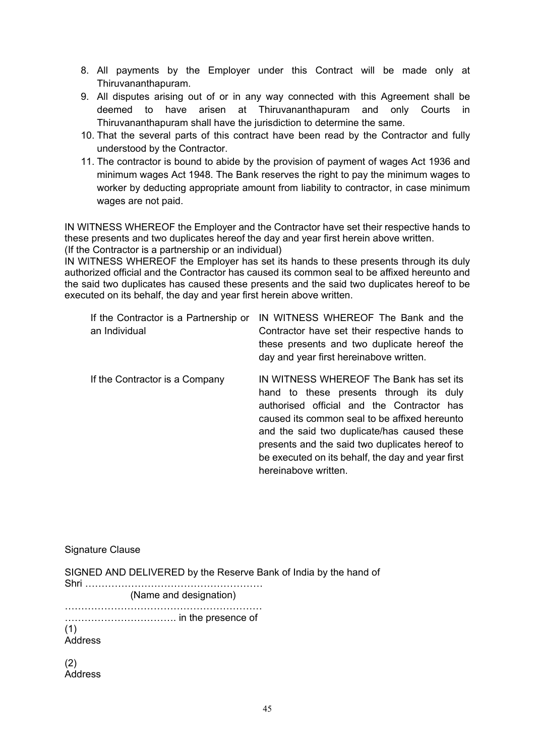- 8. All payments by the Employer under this Contract will be made only at Thiruvananthapuram.
- 9. All disputes arising out of or in any way connected with this Agreement shall be deemed to have arisen at Thiruvananthapuram and only Courts in Thiruvananthapuram shall have the jurisdiction to determine the same.
- 10. That the several parts of this contract have been read by the Contractor and fully understood by the Contractor.
- 11. The contractor is bound to abide by the provision of payment of wages Act 1936 and minimum wages Act 1948. The Bank reserves the right to pay the minimum wages to worker by deducting appropriate amount from liability to contractor, in case minimum wages are not paid.

IN WITNESS WHEREOF the Employer and the Contractor have set their respective hands to these presents and two duplicates hereof the day and year first herein above written.

(If the Contractor is a partnership or an individual)

IN WITNESS WHEREOF the Employer has set its hands to these presents through its duly authorized official and the Contractor has caused its common seal to be affixed hereunto and the said two duplicates has caused these presents and the said two duplicates hereof to be executed on its behalf, the day and year first herein above written.

| If the Contractor is a Partnership or<br>an Individual | IN WITNESS WHEREOF The Bank and the<br>Contractor have set their respective hands to<br>these presents and two duplicate hereof the<br>day and year first hereinabove written.                                                                                                                                                                                  |
|--------------------------------------------------------|-----------------------------------------------------------------------------------------------------------------------------------------------------------------------------------------------------------------------------------------------------------------------------------------------------------------------------------------------------------------|
| If the Contractor is a Company                         | IN WITNESS WHEREOF The Bank has set its<br>hand to these presents through its duly<br>authorised official and the Contractor has<br>caused its common seal to be affixed hereunto<br>and the said two duplicate/has caused these<br>presents and the said two duplicates hereof to<br>be executed on its behalf, the day and year first<br>hereinabove written. |

#### Signature Clause

SIGNED AND DELIVERED by the Reserve Bank of India by the hand of

Shri ……………………………………………… (Name and designation) …………………………………………………… ……………………………. in the presence of (1) **Address** (2)

**Address**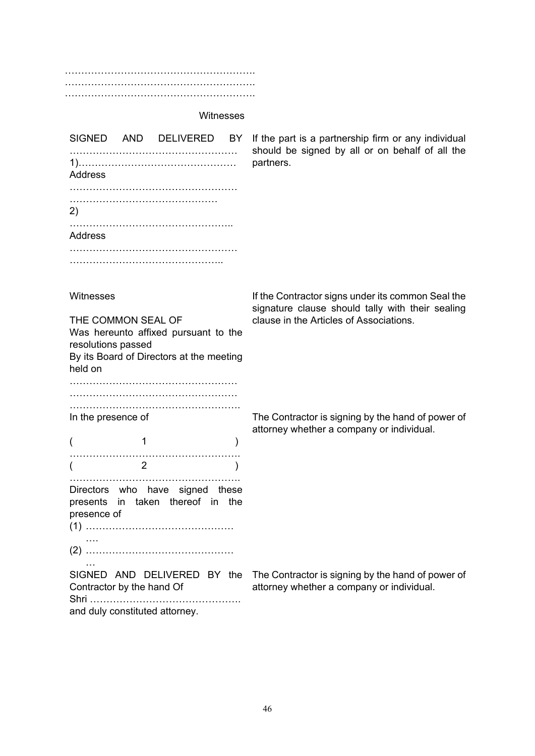…………………………………………………. …………………………………………………. ………………………………………………….

#### **Witnesses**

|         | SIGNED AND DELIVERED BY |  |
|---------|-------------------------|--|
| Address |                         |  |
|         |                         |  |
| (2)     |                         |  |
| Address |                         |  |
|         |                         |  |
|         |                         |  |

If the part is a partnership firm or any individual should be signed by all or on behalf of all the partners.

**Witnesses** 

presence of

….

THE COMMON SEAL OF Was hereunto affixed pursuant to the resolutions passed By its Board of Directors at the meeting held on

…………………………………………… …………………………………………… ……………………………………………. In the presence of

 $($  1 ) …………………………………………….  $(2)$ ……………………………………………. Directors who have signed these presents in taken thereof in the If the Contractor signs under its common Seal the signature clause should tally with their sealing clause in the Articles of Associations.

The Contractor is signing by the hand of power of attorney whether a company or individual.

… Contractor by the hand Of Shri ………………………………………. and duly constituted attorney.

(1) ………………………………………

(2) ………………………………………

SIGNED AND DELIVERED BY the The Contractor is signing by the hand of power of attorney whether a company or individual.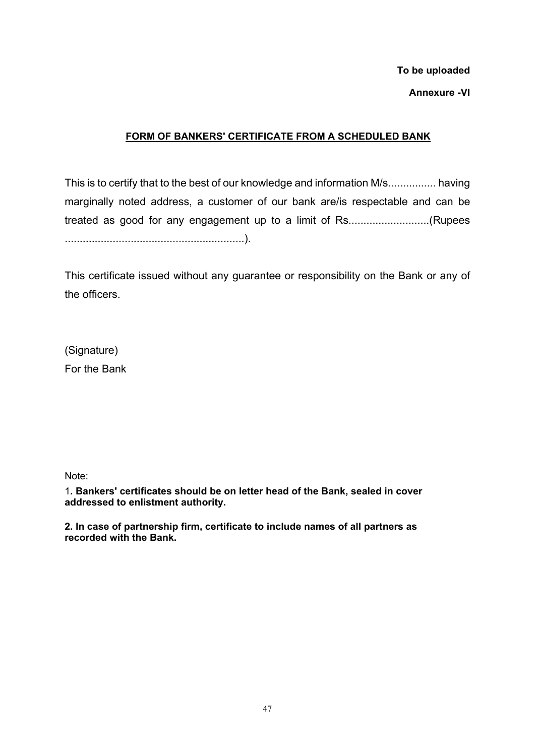# **To be uploaded Annexure -VI**

## **FORM OF BANKERS' CERTIFICATE FROM A SCHEDULED BANK**

This is to certify that to the best of our knowledge and information M/s................ having marginally noted address, a customer of our bank are/is respectable and can be treated as good for any engagement up to a limit of Rs...........................(Rupees ............................................................).

This certificate issued without any guarantee or responsibility on the Bank or any of the officers.

(Signature) For the Bank

Note:

1**. Bankers' certificates should be on letter head of the Bank, sealed in cover addressed to enlistment authority.**

**2. In case of partnership firm, certificate to include names of all partners as recorded with the Bank.**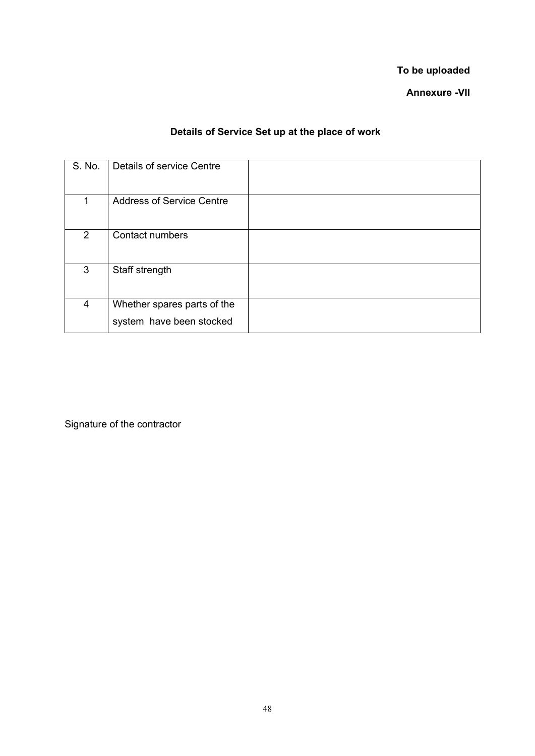**To be uploaded**

**Annexure -VII**

## **Details of Service Set up at the place of work**

<span id="page-49-0"></span>

| S. No.         | Details of service Centre                               |  |
|----------------|---------------------------------------------------------|--|
| 1              | <b>Address of Service Centre</b>                        |  |
| $\overline{2}$ | <b>Contact numbers</b>                                  |  |
| 3              | Staff strength                                          |  |
| 4              | Whether spares parts of the<br>system have been stocked |  |

Signature of the contractor